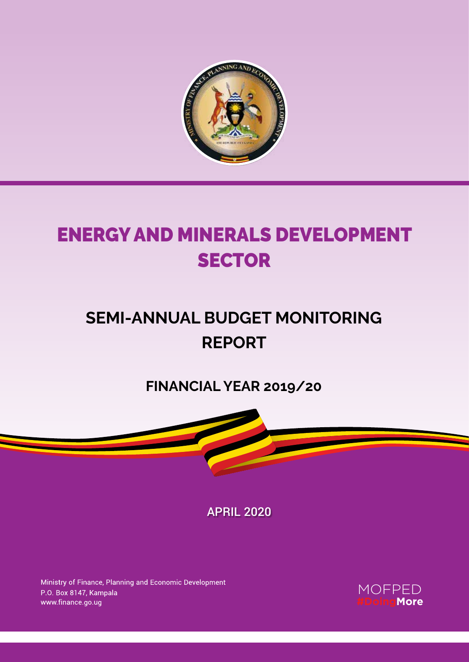

# Energy and Minerals Development **SECTOR**

## **SEMI-ANNUAL BUDGET MONITORING REPORT**

**FINANCIAL YEAR 2019/20**



APRIL 2020

**Energy and Minerals Development Sector: Semi-Annual Budget Monitoring Report - FY 2019/20** A

Ministry of Finance, Planning and Economic Development P.O. Box 8147, Kampala www.finance.go.ug

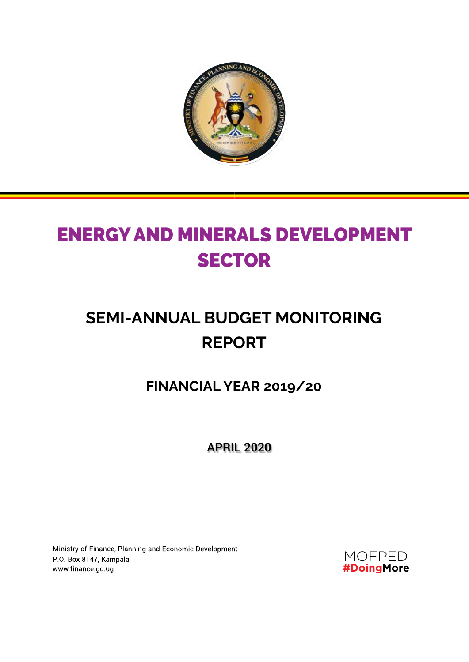

## Energy and Minerals Development **SECTOR**

## **SEMI-ANNUAL BUDGET MONITORING REPORT**

**FINANCIAL YEAR 2019/20**

APRIL 2020

Ministry of Finance, Planning and Economic Development P.O. Box 8147, Kampala www.finance.go.ug

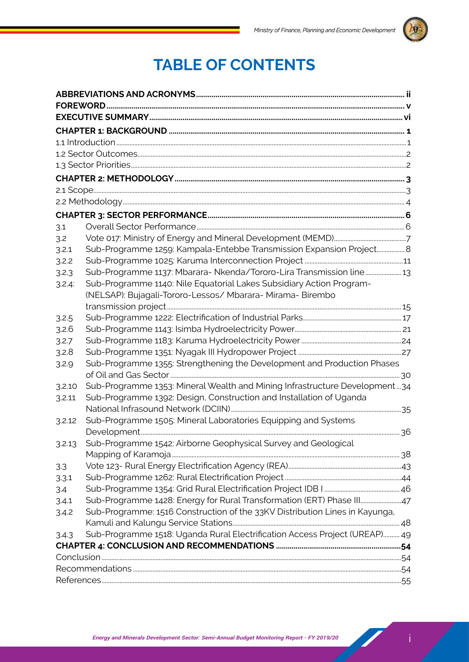

| 3.1    |                                                                             |  |
|--------|-----------------------------------------------------------------------------|--|
| 3.2    |                                                                             |  |
| 3.2.1  | Sub-Programme 1259: Kampala-Entebbe Transmission Expansion Project 8        |  |
| 3.2.2  |                                                                             |  |
| 3.2.3  | Sub-Programme 1137: Mbarara- Nkenda/Tororo-Lira Transmission line 13        |  |
| 3.2.4  | Sub-Programme 1140: Nile Equatorial Lakes Subsidiary Action Program-        |  |
|        | (NELSAP): Bujagali-Tororo-Lessos/ Mbarara- Mirama- Birembo                  |  |
|        |                                                                             |  |
| 3.2.5  |                                                                             |  |
| 3.2.6  |                                                                             |  |
| 3.2.7  |                                                                             |  |
| 3.2.8  |                                                                             |  |
| 3.2.9  | Sub-Programme 1355: Strengthening the Development and Production Phases     |  |
|        |                                                                             |  |
| 3.2.10 | Sub-Programme 1353: Mineral Wealth and Mining Infrastructure Development34  |  |
| 3.2.11 | Sub-Programme 1392: Design, Construction and Installation of Uganda         |  |
|        |                                                                             |  |
| 3.2.12 | Sub-Programme 1505: Mineral Laboratories Equipping and Systems              |  |
|        |                                                                             |  |
| 3.2.13 | Sub-Programme 1542: Airborne Geophysical Survey and Geological              |  |
|        |                                                                             |  |
| 3.3    |                                                                             |  |
| 3.3.1  |                                                                             |  |
| 3.4    |                                                                             |  |
| 3.4.1  | Sub-Programme 1428: Energy for Rural Transformation (ERT) Phase III47       |  |
| 3.4.2  | Sub-Programme: 1516 Construction of the 33KV Distribution Lines in Kayunga, |  |
|        |                                                                             |  |
| 3.4.3  | Sub-Programme 1518: Uganda Rural Electrification Access Project (UREAP) 49  |  |
|        |                                                                             |  |
|        |                                                                             |  |
|        |                                                                             |  |
|        |                                                                             |  |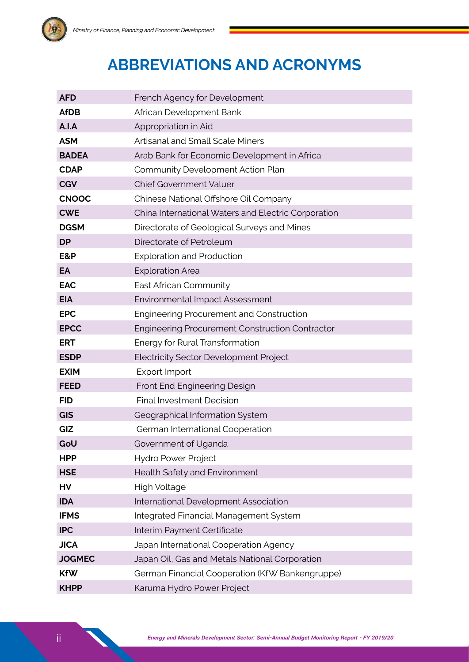## **Abbreviations and Acronyms**

| <b>AFD</b>    | French Agency for Development                          |  |  |  |  |  |
|---------------|--------------------------------------------------------|--|--|--|--|--|
| <b>AfDB</b>   | African Development Bank                               |  |  |  |  |  |
| A.I.A         | Appropriation in Aid                                   |  |  |  |  |  |
| <b>ASM</b>    | <b>Artisanal and Small Scale Miners</b>                |  |  |  |  |  |
| <b>BADEA</b>  | Arab Bank for Economic Development in Africa           |  |  |  |  |  |
| <b>CDAP</b>   | Community Development Action Plan                      |  |  |  |  |  |
| <b>CGV</b>    | <b>Chief Government Valuer</b>                         |  |  |  |  |  |
| <b>CNOOC</b>  | Chinese National Offshore Oil Company                  |  |  |  |  |  |
| <b>CWE</b>    | China International Waters and Electric Corporation    |  |  |  |  |  |
| <b>DGSM</b>   | Directorate of Geological Surveys and Mines            |  |  |  |  |  |
| <b>DP</b>     | Directorate of Petroleum                               |  |  |  |  |  |
| E&P           | <b>Exploration and Production</b>                      |  |  |  |  |  |
| EA            | <b>Exploration Area</b>                                |  |  |  |  |  |
| <b>EAC</b>    | East African Community                                 |  |  |  |  |  |
| <b>EIA</b>    | Environmental Impact Assessment                        |  |  |  |  |  |
| <b>EPC</b>    | <b>Engineering Procurement and Construction</b>        |  |  |  |  |  |
| <b>EPCC</b>   | <b>Engineering Procurement Construction Contractor</b> |  |  |  |  |  |
| <b>ERT</b>    | Energy for Rural Transformation                        |  |  |  |  |  |
| <b>ESDP</b>   | Electricity Sector Development Project                 |  |  |  |  |  |
| <b>EXIM</b>   | Export Import                                          |  |  |  |  |  |
| <b>FEED</b>   | Front End Engineering Design                           |  |  |  |  |  |
| <b>FID</b>    | <b>Final Investment Decision</b>                       |  |  |  |  |  |
| <b>GIS</b>    | Geographical Information System                        |  |  |  |  |  |
| GIZ           | German International Cooperation                       |  |  |  |  |  |
| GoU           | Government of Uganda                                   |  |  |  |  |  |
| <b>HPP</b>    | <b>Hydro Power Project</b>                             |  |  |  |  |  |
| <b>HSE</b>    | Health Safety and Environment                          |  |  |  |  |  |
| HV            | <b>High Voltage</b>                                    |  |  |  |  |  |
| <b>IDA</b>    | International Development Association                  |  |  |  |  |  |
| <b>IFMS</b>   | <b>Integrated Financial Management System</b>          |  |  |  |  |  |
| <b>IPC</b>    | Interim Payment Certificate                            |  |  |  |  |  |
| <b>JICA</b>   | Japan International Cooperation Agency                 |  |  |  |  |  |
| <b>JOGMEC</b> | Japan Oil, Gas and Metals National Corporation         |  |  |  |  |  |
| <b>KfW</b>    | German Financial Cooperation (KfW Bankengruppe)        |  |  |  |  |  |
| <b>KHPP</b>   | Karuma Hydro Power Project                             |  |  |  |  |  |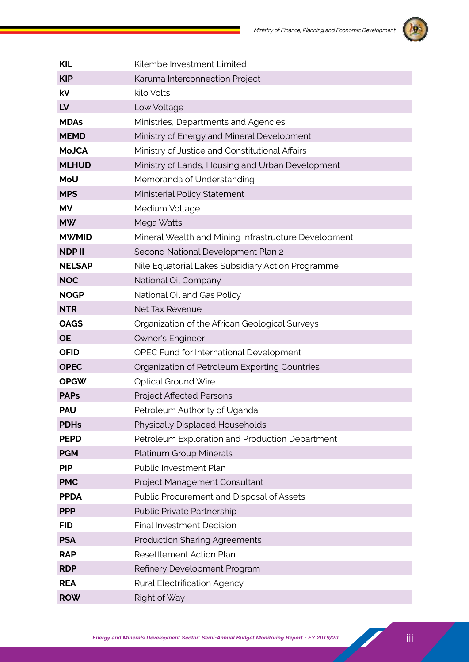

| <b>KIL</b>    | Kilembe Investment Limited                           |
|---------------|------------------------------------------------------|
| <b>KIP</b>    | Karuma Interconnection Project                       |
| kV            | kilo Volts                                           |
| LV            | Low Voltage                                          |
| <b>MDAs</b>   | Ministries, Departments and Agencies                 |
| <b>MEMD</b>   | Ministry of Energy and Mineral Development           |
| <b>MoJCA</b>  | Ministry of Justice and Constitutional Affairs       |
| <b>MLHUD</b>  | Ministry of Lands, Housing and Urban Development     |
| MoU           | Memoranda of Understanding                           |
| <b>MPS</b>    | Ministerial Policy Statement                         |
| <b>MV</b>     | Medium Voltage                                       |
| <b>MW</b>     | Mega Watts                                           |
| <b>MWMID</b>  | Mineral Wealth and Mining Infrastructure Development |
| <b>NDPII</b>  | Second National Development Plan 2                   |
| <b>NELSAP</b> | Nile Equatorial Lakes Subsidiary Action Programme    |
| <b>NOC</b>    | National Oil Company                                 |
| <b>NOGP</b>   | National Oil and Gas Policy                          |
| <b>NTR</b>    | Net Tax Revenue                                      |
| <b>OAGS</b>   | Organization of the African Geological Surveys       |
| <b>OE</b>     | Owner's Engineer                                     |
| <b>OFID</b>   | OPEC Fund for International Development              |
| <b>OPEC</b>   | Organization of Petroleum Exporting Countries        |
| <b>OPGW</b>   | <b>Optical Ground Wire</b>                           |
| <b>PAPs</b>   | <b>Project Affected Persons</b>                      |
| <b>PAU</b>    | Petroleum Authority of Uganda                        |
| <b>PDHs</b>   | Physically Displaced Households                      |
| <b>PEPD</b>   | Petroleum Exploration and Production Department      |
| <b>PGM</b>    | Platinum Group Minerals                              |
| <b>PIP</b>    | Public Investment Plan                               |
| <b>PMC</b>    | Project Management Consultant                        |
| <b>PPDA</b>   | Public Procurement and Disposal of Assets            |
| <b>PPP</b>    | Public Private Partnership                           |
| <b>FID</b>    | <b>Final Investment Decision</b>                     |
| <b>PSA</b>    | <b>Production Sharing Agreements</b>                 |
| <b>RAP</b>    | Resettlement Action Plan                             |
| <b>RDP</b>    | Refinery Development Program                         |
| <b>REA</b>    | <b>Rural Electrification Agency</b>                  |
| <b>ROW</b>    | Right of Way                                         |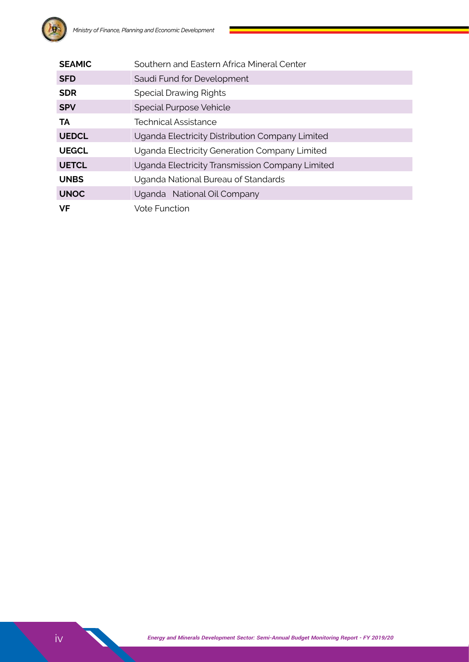

| <b>SEAMIC</b> | Southern and Eastern Africa Mineral Center      |  |  |  |  |  |  |
|---------------|-------------------------------------------------|--|--|--|--|--|--|
| <b>SFD</b>    | Saudi Fund for Development                      |  |  |  |  |  |  |
| <b>SDR</b>    | <b>Special Drawing Rights</b>                   |  |  |  |  |  |  |
| <b>SPV</b>    | <b>Special Purpose Vehicle</b>                  |  |  |  |  |  |  |
| TA            | Technical Assistance                            |  |  |  |  |  |  |
| <b>UEDCL</b>  | Uganda Electricity Distribution Company Limited |  |  |  |  |  |  |
| <b>UEGCL</b>  | Uganda Electricity Generation Company Limited   |  |  |  |  |  |  |
| <b>UETCL</b>  | Uganda Electricity Transmission Company Limited |  |  |  |  |  |  |
| <b>UNBS</b>   | Uganda National Bureau of Standards             |  |  |  |  |  |  |
| <b>UNOC</b>   | Uganda National Oil Company                     |  |  |  |  |  |  |
| <b>VF</b>     | Vote Function                                   |  |  |  |  |  |  |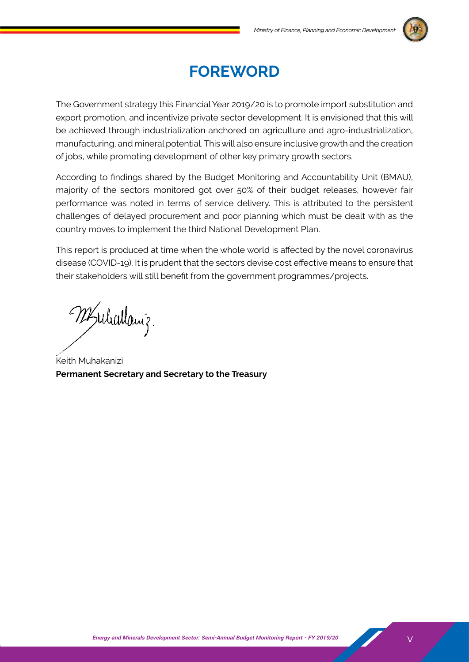

## **Foreword**

The Government strategy this Financial Year 2019/20 is to promote import substitution and export promotion, and incentivize private sector development. It is envisioned that this will be achieved through industrialization anchored on agriculture and agro-industrialization, manufacturing, and mineral potential. This will also ensure inclusive growth and the creation of jobs, while promoting development of other key primary growth sectors.

According to findings shared by the Budget Monitoring and Accountability Unit (BMAU), majority of the sectors monitored got over 50% of their budget releases, however fair performance was noted in terms of service delivery. This is attributed to the persistent challenges of delayed procurement and poor planning which must be dealt with as the country moves to implement the third National Development Plan.

This report is produced at time when the whole world is affected by the novel coronavirus disease (COVID-19). It is prudent that the sectors devise cost effective means to ensure that their stakeholders will still benefit from the government programmes/projects.

Wiliallaniz.

Keith Muhakanizi **Permanent Secretary and Secretary to the Treasury**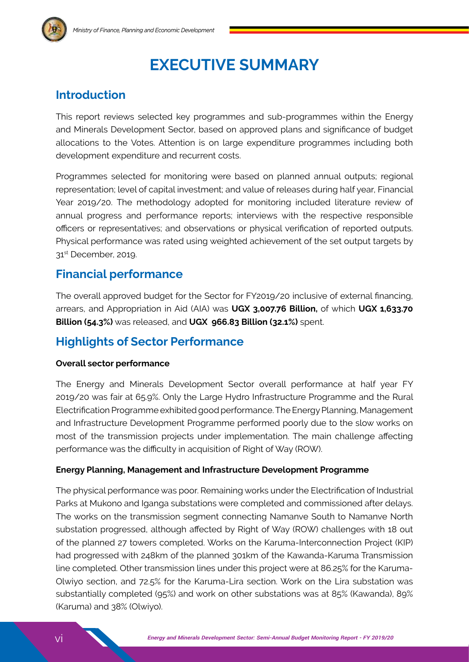

## **Executive Summary**

## **Introduction**

This report reviews selected key programmes and sub-programmes within the Energy and Minerals Development Sector, based on approved plans and significance of budget allocations to the Votes. Attention is on large expenditure programmes including both development expenditure and recurrent costs.

Programmes selected for monitoring were based on planned annual outputs; regional representation; level of capital investment; and value of releases during half year, Financial Year 2019/20. The methodology adopted for monitoring included literature review of annual progress and performance reports; interviews with the respective responsible officers or representatives; and observations or physical verification of reported outputs. Physical performance was rated using weighted achievement of the set output targets by 31st December, 2019.

## **Financial performance**

The overall approved budget for the Sector for FY2019/20 inclusive of external financing, arrears, and Appropriation in Aid (AIA) was **UGX 3,007.76 Billion,** of which **UGX 1,633.70 Billion (54.3%)** was released, and **UGX 966.83 Billion (32.1%)** spent.

## **Highlights of Sector Performance**

#### **Overall sector performance**

The Energy and Minerals Development Sector overall performance at half year FY 2019/20 was fair at 65.9%. Only the Large Hydro Infrastructure Programme and the Rural Electrification Programme exhibited good performance. The Energy Planning, Management and Infrastructure Development Programme performed poorly due to the slow works on most of the transmission projects under implementation. The main challenge affecting performance was the difficulty in acquisition of Right of Way (ROW).

#### **Energy Planning, Management and Infrastructure Development Programme**

The physical performance was poor. Remaining works under the Electrification of Industrial Parks at Mukono and Iganga substations were completed and commissioned after delays. The works on the transmission segment connecting Namanve South to Namanve North substation progressed, although affected by Right of Way (ROW) challenges with 18 out of the planned 27 towers completed. Works on the Karuma-Interconnection Project (KIP) had progressed with 248km of the planned 301km of the Kawanda-Karuma Transmission line completed. Other transmission lines under this project were at 86.25% for the Karuma-Olwiyo section, and 72.5% for the Karuma-Lira section. Work on the Lira substation was substantially completed (95%) and work on other substations was at 85% (Kawanda), 89% (Karuma) and 38% (Olwiyo).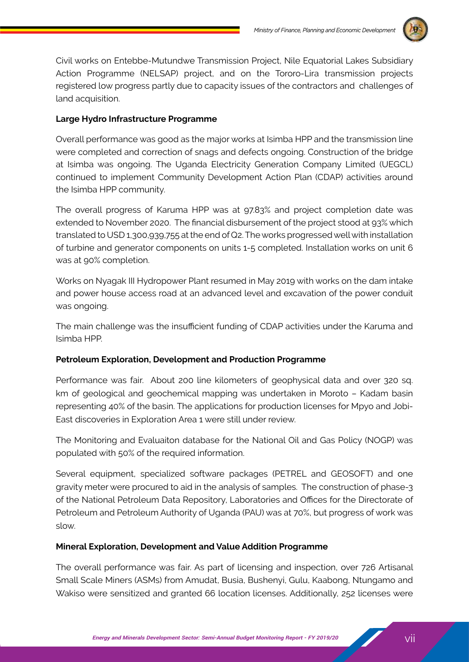

Civil works on Entebbe-Mutundwe Transmission Project, Nile Equatorial Lakes Subsidiary Action Programme (NELSAP) project, and on the Tororo-Lira transmission projects registered low progress partly due to capacity issues of the contractors and challenges of land acquisition.

#### **Large Hydro Infrastructure Programme**

Overall performance was good as the major works at Isimba HPP and the transmission line were completed and correction of snags and defects ongoing. Construction of the bridge at Isimba was ongoing. The Uganda Electricity Generation Company Limited (UEGCL) continued to implement Community Development Action Plan (CDAP) activities around the Isimba HPP community.

The overall progress of Karuma HPP was at 97.83% and project completion date was extended to November 2020. The financial disbursement of the project stood at 93% which translated to USD 1,300,939,755 at the end of Q2. The works progressed well with installation of turbine and generator components on units 1-5 completed. Installation works on unit 6 was at 90% completion.

Works on Nyagak III Hydropower Plant resumed in May 2019 with works on the dam intake and power house access road at an advanced level and excavation of the power conduit was ongoing.

The main challenge was the insufficient funding of CDAP activities under the Karuma and Isimba HPP.

#### **Petroleum Exploration, Development and Production Programme**

Performance was fair. About 200 line kilometers of geophysical data and over 320 sq. km of geological and geochemical mapping was undertaken in Moroto – Kadam basin representing 40% of the basin. The applications for production licenses for Mpyo and Jobi-East discoveries in Exploration Area 1 were still under review.

The Monitoring and Evaluaiton database for the National Oil and Gas Policy (NOGP) was populated with 50% of the required information.

Several equipment, specialized software packages (PETREL and GEOSOFT) and one gravity meter were procured to aid in the analysis of samples. The construction of phase-3 of the National Petroleum Data Repository, Laboratories and Offices for the Directorate of Petroleum and Petroleum Authority of Uganda (PAU) was at 70%, but progress of work was slow.

#### **Mineral Exploration, Development and Value Addition Programme**

The overall performance was fair. As part of licensing and inspection, over 726 Artisanal Small Scale Miners (ASMs) from Amudat, Busia, Bushenyi, Gulu, Kaabong, Ntungamo and Wakiso were sensitized and granted 66 location licenses. Additionally, 252 licenses were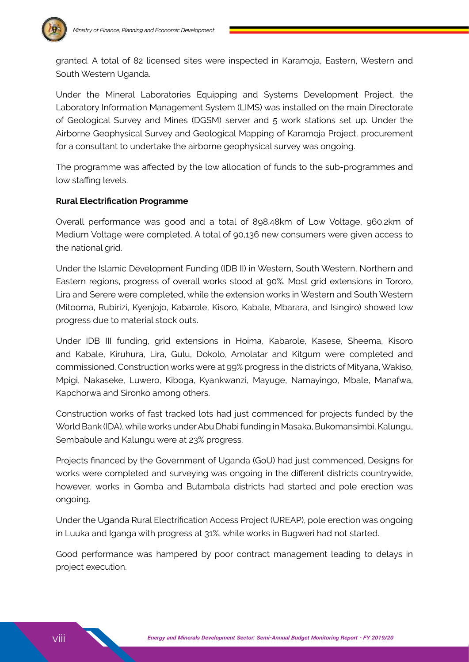

granted. A total of 82 licensed sites were inspected in Karamoja, Eastern, Western and South Western Uganda.

Under the Mineral Laboratories Equipping and Systems Development Project, the Laboratory Information Management System (LIMS) was installed on the main Directorate of Geological Survey and Mines (DGSM) server and 5 work stations set up. Under the Airborne Geophysical Survey and Geological Mapping of Karamoja Project, procurement for a consultant to undertake the airborne geophysical survey was ongoing.

The programme was affected by the low allocation of funds to the sub-programmes and low staffing levels.

#### **Rural Electrification Programme**

Overall performance was good and a total of 898.48km of Low Voltage, 960.2km of Medium Voltage were completed. A total of 90,136 new consumers were given access to the national grid.

Under the Islamic Development Funding (IDB II) in Western, South Western, Northern and Eastern regions, progress of overall works stood at 90%. Most grid extensions in Tororo, Lira and Serere were completed, while the extension works in Western and South Western (Mitooma, Rubirizi, Kyenjojo, Kabarole, Kisoro, Kabale, Mbarara, and Isingiro) showed low progress due to material stock outs.

Under IDB III funding, grid extensions in Hoima, Kabarole, Kasese, Sheema, Kisoro and Kabale, Kiruhura, Lira, Gulu, Dokolo, Amolatar and Kitgum were completed and commissioned. Construction works were at 99% progress in the districts of Mityana, Wakiso, Mpigi, Nakaseke, Luwero, Kiboga, Kyankwanzi, Mayuge, Namayingo, Mbale, Manafwa, Kapchorwa and Sironko among others.

Construction works of fast tracked lots had just commenced for projects funded by the World Bank (IDA), while works under Abu Dhabi funding in Masaka, Bukomansimbi, Kalungu, Sembabule and Kalungu were at 23% progress.

Projects financed by the Government of Uganda (GoU) had just commenced. Designs for works were completed and surveying was ongoing in the different districts countrywide, however, works in Gomba and Butambala districts had started and pole erection was ongoing.

Under the Uganda Rural Electrification Access Project (UREAP), pole erection was ongoing in Luuka and Iganga with progress at 31%, while works in Bugweri had not started.

Good performance was hampered by poor contract management leading to delays in project execution.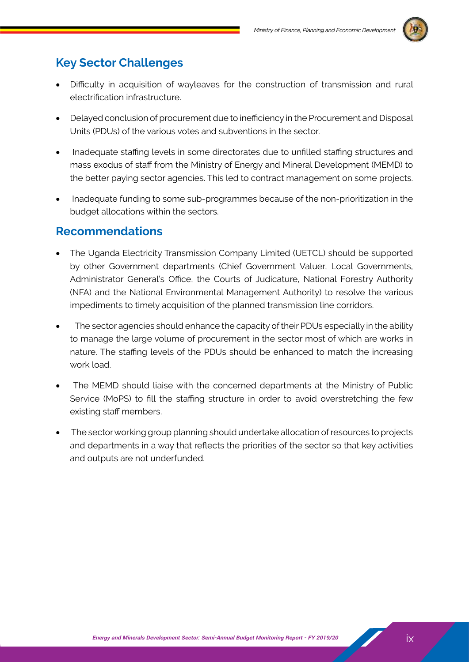## **Key Sector Challenges**

- Difficulty in acquisition of wayleaves for the construction of transmission and rural electrification infrastructure.
- Delayed conclusion of procurement due to inefficiency in the Procurement and Disposal Units (PDUs) of the various votes and subventions in the sector.
- Inadequate staffing levels in some directorates due to unfilled staffing structures and mass exodus of staff from the Ministry of Energy and Mineral Development (MEMD) to the better paying sector agencies. This led to contract management on some projects.
- Inadequate funding to some sub-programmes because of the non-prioritization in the budget allocations within the sectors.

### **Recommendations**

- The Uganda Electricity Transmission Company Limited (UETCL) should be supported by other Government departments (Chief Government Valuer, Local Governments, Administrator General's Office, the Courts of Judicature, National Forestry Authority (NFA) and the National Environmental Management Authority) to resolve the various impediments to timely acquisition of the planned transmission line corridors.
- The sector agencies should enhance the capacity of their PDUs especially in the ability to manage the large volume of procurement in the sector most of which are works in nature. The staffing levels of the PDUs should be enhanced to match the increasing work load.
- The MEMD should liaise with the concerned departments at the Ministry of Public Service (MoPS) to fill the staffing structure in order to avoid overstretching the few existing staff members.
- The sector working group planning should undertake allocation of resources to projects and departments in a way that reflects the priorities of the sector so that key activities and outputs are not underfunded.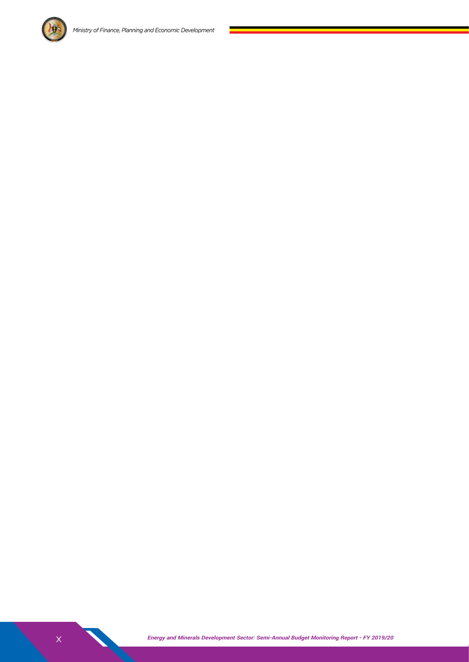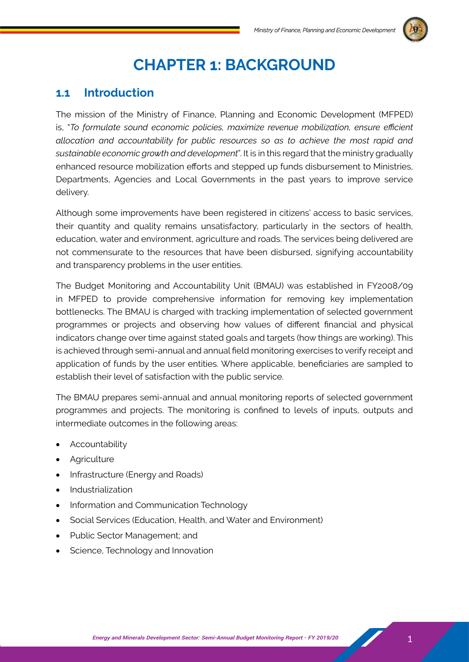

## **Chapter 1: Background**

### **1.1 Introduction**

The mission of the Ministry of Finance, Planning and Economic Development (MFPED) is, "*To formulate sound economic policies, maximize revenue mobilization, ensure efficient allocation and accountability for public resources so as to achieve the most rapid and sustainable economic growth and development*". It is in this regard that the ministry gradually enhanced resource mobilization efforts and stepped up funds disbursement to Ministries, Departments, Agencies and Local Governments in the past years to improve service delivery.

Although some improvements have been registered in citizens' access to basic services, their quantity and quality remains unsatisfactory, particularly in the sectors of health, education, water and environment, agriculture and roads. The services being delivered are not commensurate to the resources that have been disbursed, signifying accountability and transparency problems in the user entities.

The Budget Monitoring and Accountability Unit (BMAU) was established in FY2008/09 in MFPED to provide comprehensive information for removing key implementation bottlenecks. The BMAU is charged with tracking implementation of selected government programmes or projects and observing how values of different financial and physical indicators change over time against stated goals and targets (how things are working). This is achieved through semi-annual and annual field monitoring exercises to verify receipt and application of funds by the user entities. Where applicable, beneficiaries are sampled to establish their level of satisfaction with the public service.

The BMAU prepares semi-annual and annual monitoring reports of selected government programmes and projects. The monitoring is confined to levels of inputs, outputs and intermediate outcomes in the following areas:

- Accountability
- **Agriculture**
- Infrastructure (Energy and Roads)
- **Industrialization**
- Information and Communication Technology
- **Social Services (Education, Health, and Water and Environment)**
- • Public Sector Management; and
- Science, Technology and Innovation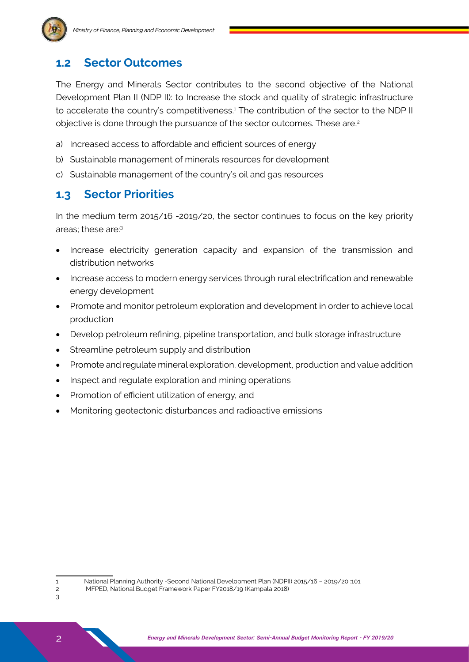## **1.2 Sector Outcomes**

The Energy and Minerals Sector contributes to the second objective of the National Development Plan II (NDP II): to Increase the stock and quality of strategic infrastructure to accelerate the country's competitiveness.<sup>1</sup> The contribution of the sector to the NDP II objective is done through the pursuance of the sector outcomes. These are, $2$ 

- a) Increased access to affordable and efficient sources of energy
- b) Sustainable management of minerals resources for development
- c) Sustainable management of the country's oil and gas resources

### **1.3 Sector Priorities**

In the medium term 2015/16 -2019/20, the sector continues to focus on the key priority areas; these are:3

- Increase electricity generation capacity and expansion of the transmission and distribution networks
- Increase access to modern energy services through rural electrification and renewable energy development
- Promote and monitor petroleum exploration and development in order to achieve local production
- Develop petroleum refining, pipeline transportation, and bulk storage infrastructure
- Streamline petroleum supply and distribution
- Promote and regulate mineral exploration, development, production and value addition
- Inspect and regulate exploration and mining operations
- Promotion of efficient utilization of energy, and
- Monitoring geotectonic disturbances and radioactive emissions

2 MFPED, National Budget Framework Paper FY2018/19 (Kampala 2018)

<sup>1</sup> National Planning Authority -Second National Development Plan (NDPII) 2015/16 – 2019/20 :101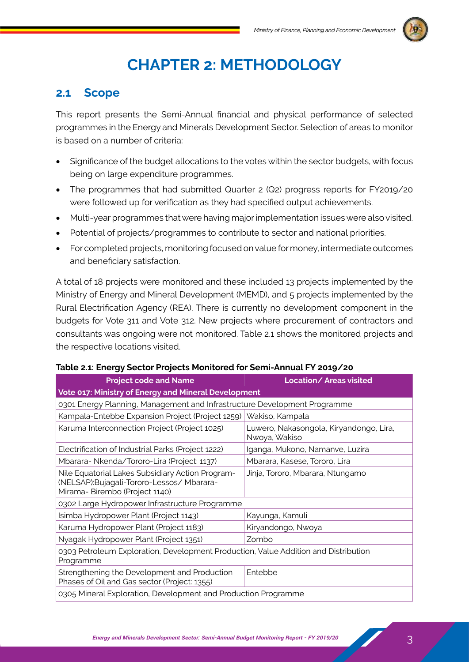

## **Chapter 2: METHODOLOGY**

### **2.1 Scope**

This report presents the Semi-Annual financial and physical performance of selected programmes in the Energy and Minerals Development Sector. Selection of areas to monitor is based on a number of criteria:

- Significance of the budget allocations to the votes within the sector budgets, with focus being on large expenditure programmes.
- The programmes that had submitted Quarter 2 (Q2) progress reports for FY2019/20 were followed up for verification as they had specified output achievements.
- Multi-year programmes that were having major implementation issues were also visited.
- Potential of projects/programmes to contribute to sector and national priorities.
- For completed projects, monitoring focused on value for money, intermediate outcomes and beneficiary satisfaction.

A total of 18 projects were monitored and these included 13 projects implemented by the Ministry of Energy and Mineral Development (MEMD), and 5 projects implemented by the Rural Electrification Agency (REA). There is currently no development component in the budgets for Vote 311 and Vote 312. New projects where procurement of contractors and consultants was ongoing were not monitored. Table 2.1 shows the monitored projects and the respective locations visited.

#### **Table 2.1: Energy Sector Projects Monitored for Semi-Annual FY 2019/20**

| <b>Project code and Name</b>                                                                                                   | Location/ Areas visited                                  |  |  |  |  |  |  |
|--------------------------------------------------------------------------------------------------------------------------------|----------------------------------------------------------|--|--|--|--|--|--|
| Vote 017: Ministry of Energy and Mineral Development                                                                           |                                                          |  |  |  |  |  |  |
| 0301 Energy Planning, Management and Infrastructure Development Programme                                                      |                                                          |  |  |  |  |  |  |
| Kampala-Entebbe Expansion Project (Project 1259)                                                                               | Wakiso, Kampala                                          |  |  |  |  |  |  |
| Karuma Interconnection Project (Project 1025)                                                                                  | Luwero, Nakasongola, Kiryandongo, Lira,<br>Nwoya, Wakiso |  |  |  |  |  |  |
| Electrification of Industrial Parks (Project 1222)                                                                             | Iganga, Mukono, Namanve, Luzira                          |  |  |  |  |  |  |
| Mbarara-Nkenda/Tororo-Lira (Project: 1137)                                                                                     | Mbarara, Kasese, Tororo, Lira                            |  |  |  |  |  |  |
| Nile Equatorial Lakes Subsidiary Action Program-<br>(NELSAP):Bujagali-Tororo-Lessos/Mbarara-<br>Mirama- Birembo (Project 1140) | Jinja, Tororo, Mbarara, Ntungamo                         |  |  |  |  |  |  |
| 0302 Large Hydropower Infrastructure Programme                                                                                 |                                                          |  |  |  |  |  |  |
| Isimba Hydropower Plant (Project 1143)                                                                                         | Kayunga, Kamuli                                          |  |  |  |  |  |  |
| Karuma Hydropower Plant (Project 1183)                                                                                         | Kiryandongo, Nwoya                                       |  |  |  |  |  |  |
| Nyagak Hydropower Plant (Project 1351)                                                                                         | Zombo                                                    |  |  |  |  |  |  |
| 0303 Petroleum Exploration, Development Production, Value Addition and Distribution<br>Programme                               |                                                          |  |  |  |  |  |  |
| Strengthening the Development and Production<br>Phases of Oil and Gas sector (Project: 1355)                                   | Entebbe                                                  |  |  |  |  |  |  |
| 0305 Mineral Exploration, Development and Production Programme                                                                 |                                                          |  |  |  |  |  |  |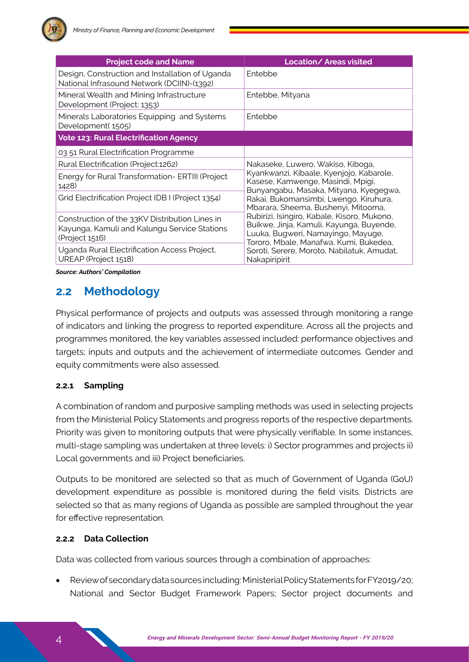

| <b>Project code and Name</b>                                                                                     | Location/ Areas visited                                                                                                                                                 |  |  |  |
|------------------------------------------------------------------------------------------------------------------|-------------------------------------------------------------------------------------------------------------------------------------------------------------------------|--|--|--|
| Design, Construction and Installation of Uganda<br>National Infrasound Network (DCIIN)-(1392)                    | Entebbe                                                                                                                                                                 |  |  |  |
| Mineral Wealth and Mining Infrastructure<br>Development (Project: 1353)                                          | Entebbe, Mityana                                                                                                                                                        |  |  |  |
| Minerals Laboratories Equipping and Systems<br>Development(1505)                                                 | Entebbe                                                                                                                                                                 |  |  |  |
| <b>Vote 123: Rural Electrification Agency</b>                                                                    |                                                                                                                                                                         |  |  |  |
| 03 51 Rural Electrification Programme                                                                            |                                                                                                                                                                         |  |  |  |
| Rural Electrification (Project:1262)                                                                             | Nakaseke, Luwero, Wakiso, Kiboga,<br>Kyankwanzi, Kibaale, Kyenjojo, Kabarole,<br>Kasese, Kamwenge, Masindi, Mpigi,<br>Bunyangabu, Masaka, Mityana, Kyegegwa,            |  |  |  |
| Energy for Rural Transformation- ERTIII (Project<br>1428)                                                        |                                                                                                                                                                         |  |  |  |
| Grid Electrification Project IDB I (Project 1354)                                                                | Rakai, Bukomansimbi, Lwengo, Kiruhura,<br>Mbarara, Sheema, Bushenyi, Mitooma,                                                                                           |  |  |  |
| Construction of the 33KV Distribution Lines in<br>Kayunga, Kamuli and Kalungu Service Stations<br>(Project 1516) | Rubirizi, Isingiro, Kabale, Kisoro, Mukono,<br>Buikwe, Jinja, Kamuli, Kayunga, Buyende,<br>Luuka, Bugweri, Namayingo, Mayuge,<br>Tororo, Mbale, Manafwa, Kumi, Bukedea, |  |  |  |
| Uganda Rural Electrification Access Project,<br>UREAP (Project 1518)                                             | Soroti, Serere, Moroto, Nabilatuk, Amudat,<br>Nakapiripirit                                                                                                             |  |  |  |

*Source: Authors' Compilation*

### **2.2 Methodology**

Physical performance of projects and outputs was assessed through monitoring a range of indicators and linking the progress to reported expenditure. Across all the projects and programmes monitored, the key variables assessed included: performance objectives and targets; inputs and outputs and the achievement of intermediate outcomes. Gender and equity commitments were also assessed.

#### **2.2.1 Sampling**

A combination of random and purposive sampling methods was used in selecting projects from the Ministerial Policy Statements and progress reports of the respective departments. Priority was given to monitoring outputs that were physically verifiable. In some instances, multi-stage sampling was undertaken at three levels: i) Sector programmes and projects ii) Local governments and iii) Project beneficiaries.

Outputs to be monitored are selected so that as much of Government of Uganda (GoU) development expenditure as possible is monitored during the field visits. Districts are selected so that as many regions of Uganda as possible are sampled throughout the year for effective representation.

#### **2.2.2 Data Collection**

Data was collected from various sources through a combination of approaches:

Review of secondary data sources including: Ministerial Policy Statements for FY2019/20; National and Sector Budget Framework Papers; Sector project documents and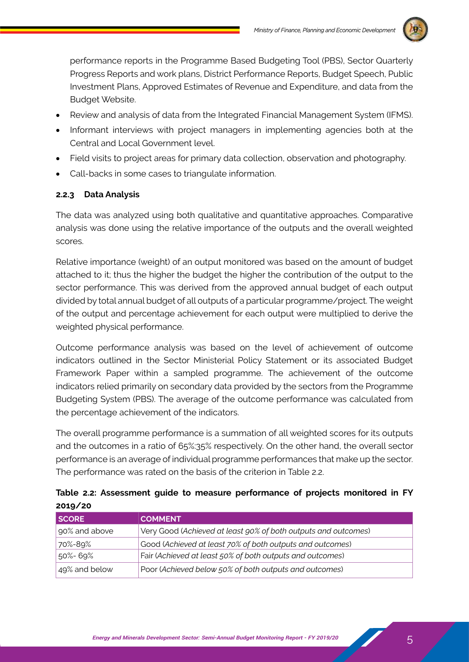

performance reports in the Programme Based Budgeting Tool (PBS), Sector Quarterly Progress Reports and work plans, District Performance Reports, Budget Speech, Public Investment Plans, Approved Estimates of Revenue and Expenditure, and data from the Budget Website.

- Review and analysis of data from the Integrated Financial Management System (IFMS).
- Informant interviews with project managers in implementing agencies both at the Central and Local Government level.
- Field visits to project areas for primary data collection, observation and photography.
- Call-backs in some cases to triangulate information.

#### **2.2.3 Data Analysis**

The data was analyzed using both qualitative and quantitative approaches. Comparative analysis was done using the relative importance of the outputs and the overall weighted scores.

Relative importance (weight) of an output monitored was based on the amount of budget attached to it; thus the higher the budget the higher the contribution of the output to the sector performance. This was derived from the approved annual budget of each output divided by total annual budget of all outputs of a particular programme/project. The weight of the output and percentage achievement for each output were multiplied to derive the weighted physical performance.

Outcome performance analysis was based on the level of achievement of outcome indicators outlined in the Sector Ministerial Policy Statement or its associated Budget Framework Paper within a sampled programme. The achievement of the outcome indicators relied primarily on secondary data provided by the sectors from the Programme Budgeting System (PBS). The average of the outcome performance was calculated from the percentage achievement of the indicators.

The overall programme performance is a summation of all weighted scores for its outputs and the outcomes in a ratio of 65%:35% respectively. On the other hand, the overall sector performance is an average of individual programme performances that make up the sector. The performance was rated on the basis of the criterion in Table 2.2.

| 2019/20       |                                                                |  |  |  |  |
|---------------|----------------------------------------------------------------|--|--|--|--|
| <b>SCORE</b>  | <b>COMMENT</b>                                                 |  |  |  |  |
| 90% and above | Very Good (Achieved at least 90% of both outputs and outcomes) |  |  |  |  |
| 70%-89%       | Good (Achieved at least 70% of both outputs and outcomes)      |  |  |  |  |
| 50%- 69%      | Fair (Achieved at least 50% of both outputs and outcomes)      |  |  |  |  |
| 49% and below | Poor (Achieved below 50% of both outputs and outcomes)         |  |  |  |  |

### **Table 2.2: Assessment guide to measure performance of projects monitored in FY 2019/20**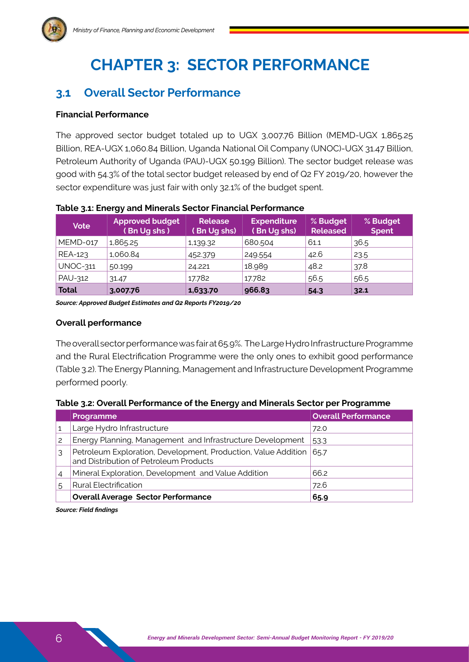

## **CHAPTER 3: SECTOR PERFORMANCE**

### **3.1 Overall Sector Performance**

#### **Financial Performance**

The approved sector budget totaled up to UGX 3,007.76 Billion (MEMD-UGX 1,865.25 Billion, REA-UGX 1,060.84 Billion, Uganda National Oil Company (UNOC)-UGX 31.47 Billion, Petroleum Authority of Uganda (PAU)-UGX 50.199 Billion). The sector budget release was good with 54.3% of the total sector budget released by end of Q2 FY 2019/20, however the sector expenditure was just fair with only 32.1% of the budget spent.

| <b>Vote</b>     | <b>Approved budget</b><br>(Bn Ug shs) | <b>Release</b><br>(Bn Ug shs) | <b>Expenditure</b><br>(Bn Ug shs) | % Budget<br><b>Released</b> | % Budget<br><b>Spent</b> |
|-----------------|---------------------------------------|-------------------------------|-----------------------------------|-----------------------------|--------------------------|
| MEMD-017        | 1,865.25                              | 1,139.32                      | 680.504                           | 61.1                        | 36.5                     |
| REA-123         | 1,060.84                              | 452.379                       | 249.554                           | 42.6                        | 23.5                     |
| <b>UNOC-311</b> | 50.199                                | 24.221                        | 18.989                            | 48.2                        | 37.8                     |
| PAU-312         | 31.47                                 | 17.782                        | 17.782                            | 56.5                        | 56.5                     |
| <b>Total</b>    | 3,007.76                              | 1,633.70                      | 966.83                            | 54.3                        | 32.1                     |

#### **Table 3.1: Energy and Minerals Sector Financial Performance**

*Source: Approved Budget Estimates and Q2 Reports FY2019/20*

#### **Overall performance**

The overall sector performance was fair at 65.9%. The Large Hydro Infrastructure Programme and the Rural Electrification Programme were the only ones to exhibit good performance (Table 3.2). The Energy Planning, Management and Infrastructure Development Programme performed poorly.

|               | Programme                                                                                                | <b>Overall Performance</b> |
|---------------|----------------------------------------------------------------------------------------------------------|----------------------------|
|               | Large Hydro Infrastructure                                                                               | 72.0                       |
| $\mathcal{P}$ | Energy Planning, Management and Infrastructure Development                                               | 53.3                       |
| 3             | Petroleum Exploration, Development, Production, Value Addition<br>and Distribution of Petroleum Products | 65.7                       |
|               | Mineral Exploration, Development and Value Addition                                                      | 66.2                       |
| 5             | <b>Rural Electrification</b>                                                                             | 72.6                       |
|               | <b>Overall Average Sector Performance</b>                                                                | 65.9                       |

*Source: Field findings*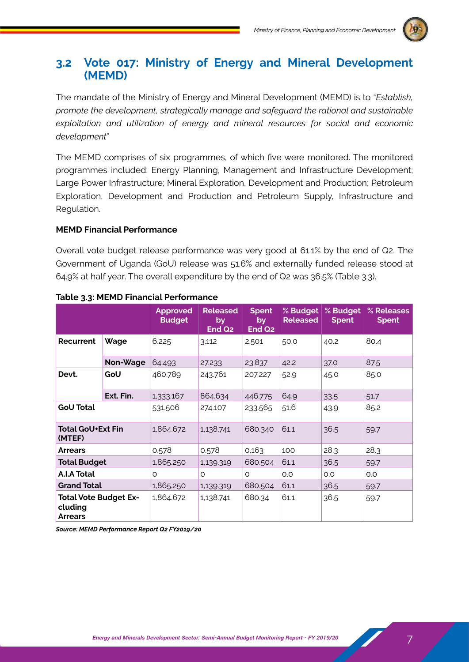

### **3.2 Vote 017: Ministry of Energy and Mineral Development (MEMD)**

The mandate of the Ministry of Energy and Mineral Development (MEMD) is to "*Establish, promote the development, strategically manage and safeguard the rational and sustainable exploitation and utilization of energy and mineral resources for social and economic development*"

The MEMD comprises of six programmes, of which five were monitored. The monitored programmes included: Energy Planning, Management and Infrastructure Development; Large Power Infrastructure; Mineral Exploration, Development and Production; Petroleum Exploration, Development and Production and Petroleum Supply, Infrastructure and Regulation.

#### **MEMD Financial Performance**

Overall vote budget release performance was very good at 61.1% by the end of Q2. The Government of Uganda (GoU) release was 51.6% and externally funded release stood at 64.9% at half year. The overall expenditure by the end of Q2 was 36.5% (Table 3.3).

|                                                    |           | <b>Approved</b><br><b>Budget</b> | <b>Released</b><br>by<br>End Q <sub>2</sub> | <b>Spent</b><br>by<br>End Q <sub>2</sub> | % Budget $ $<br><b>Released</b> | % Budget<br><b>Spent</b> | % Releases<br><b>Spent</b> |
|----------------------------------------------------|-----------|----------------------------------|---------------------------------------------|------------------------------------------|---------------------------------|--------------------------|----------------------------|
| Recurrent                                          | Wage      | 6.225                            | 3.112                                       | 2.501                                    | 50.0                            | 40.2                     | 80.4                       |
|                                                    | Non-Wage  | 64.493                           | 27.233                                      | 23.837                                   | 42.2                            | 37.0                     | 87.5                       |
| Devt.                                              | GoU       | 460.789                          | 243.761                                     | 207.227                                  | 52.9                            | 45.0                     | 85.0                       |
|                                                    | Ext. Fin. | 1,333.167                        | 864.634                                     | 446.775                                  | 64.9                            | 33.5                     | 51.7                       |
| <b>GoU Total</b>                                   |           | 531.506                          | 274.107                                     | 233.565                                  | 51.6                            | 43.9                     | 85.2                       |
| <b>Total GoU+Ext Fin</b><br>(MTEF)                 |           | 1,864.672                        | 1,138.741                                   | 680.340                                  | 61.1                            | 36.5                     | 59.7                       |
| <b>Arrears</b>                                     |           | 0.578                            | 0.578                                       | 0.163                                    | 100                             | 28.3                     | 28.3                       |
| <b>Total Budget</b>                                |           | 1,865.250                        | 1,139.319                                   | 680.504                                  | 61.1                            | 36.5                     | 59.7                       |
| A.I.A Total                                        |           | O                                | O                                           | $\circ$                                  | O.O                             | 0.0                      | O.O                        |
| <b>Grand Total</b>                                 |           | 1,865.250                        | 1,139.319                                   | 680.504                                  | 61.1                            | 36.5                     | 59.7                       |
| <b>Total Vote Budget Ex-</b><br>cluding<br>Arrears |           | 1,864.672                        | 1,138.741                                   | 680.34                                   | 61.1                            | 36.5                     | 59.7                       |

#### **Table 3.3: MEMD Financial Performance**

*Source: MEMD Performance Report Q2 FY2019/20*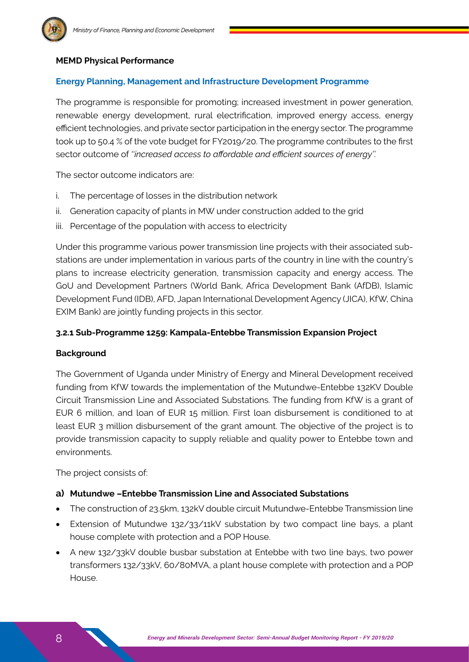#### **MEMD Physical Performance**

#### **Energy Planning, Management and Infrastructure Development Programme**

The programme is responsible for promoting; increased investment in power generation, renewable energy development, rural electrification, improved energy access, energy efficient technologies, and private sector participation in the energy sector. The programme took up to 50.4 % of the vote budget for FY2019/20. The programme contributes to the first sector outcome of *''increased access to affordable and efficient sources of energy''.*

The sector outcome indicators are:

- i. The percentage of losses in the distribution network
- ii. Generation capacity of plants in MW under construction added to the grid
- iii. Percentage of the population with access to electricity

Under this programme various power transmission line projects with their associated substations are under implementation in various parts of the country in line with the country's plans to increase electricity generation, transmission capacity and energy access. The GoU and Development Partners (World Bank, Africa Development Bank (AfDB), Islamic Development Fund (IDB), AFD, Japan International Development Agency (JICA), KfW, China EXIM Bank) are jointly funding projects in this sector.

#### **3.2.1 Sub-Programme 1259: Kampala-Entebbe Transmission Expansion Project**

#### **Background**

The Government of Uganda under Ministry of Energy and Mineral Development received funding from KfW towards the implementation of the Mutundwe-Entebbe 132KV Double Circuit Transmission Line and Associated Substations. The funding from KfW is a grant of EUR 6 million, and loan of EUR 15 million. First loan disbursement is conditioned to at least EUR 3 million disbursement of the grant amount. The objective of the project is to provide transmission capacity to supply reliable and quality power to Entebbe town and environments.

The project consists of:

#### **a) Mutundwe –Entebbe Transmission Line and Associated Substations**

- The construction of 23.5km, 132kV double circuit Mutundwe-Entebbe Transmission line
- Extension of Mutundwe 132/33/11kV substation by two compact line bays, a plant house complete with protection and a POP House.
- A new 132/33kV double busbar substation at Entebbe with two line bays, two power transformers 132/33kV, 60/80MVA, a plant house complete with protection and a POP House.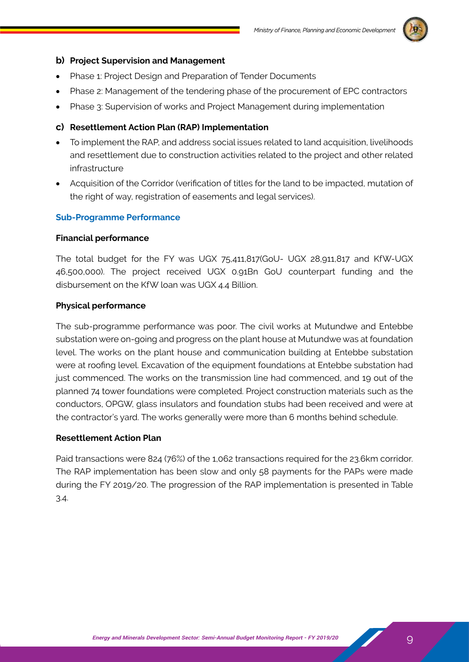

#### **b) Project Supervision and Management**

- Phase 1: Project Design and Preparation of Tender Documents
- Phase 2: Management of the tendering phase of the procurement of EPC contractors
- Phase 3: Supervision of works and Project Management during implementation

#### **c) Resettlement Action Plan (RAP) Implementation**

- To implement the RAP, and address social issues related to land acquisition, livelihoods and resettlement due to construction activities related to the project and other related infrastructure
- Acquisition of the Corridor (verification of titles for the land to be impacted, mutation of the right of way, registration of easements and legal services).

#### **Sub-Programme Performance**

#### **Financial performance**

The total budget for the FY was UGX 75,411,817(GoU- UGX 28,911,817 and KfW-UGX 46,500,000). The project received UGX 0.91Bn GoU counterpart funding and the disbursement on the KfW loan was UGX 4.4 Billion.

#### **Physical performance**

The sub-programme performance was poor. The civil works at Mutundwe and Entebbe substation were on-going and progress on the plant house at Mutundwe was at foundation level. The works on the plant house and communication building at Entebbe substation were at roofing level. Excavation of the equipment foundations at Entebbe substation had just commenced. The works on the transmission line had commenced, and 19 out of the planned 74 tower foundations were completed. Project construction materials such as the conductors, OPGW, glass insulators and foundation stubs had been received and were at the contractor's yard. The works generally were more than 6 months behind schedule.

#### **Resettlement Action Plan**

Paid transactions were 824 (76%) of the 1,062 transactions required for the 23.6km corridor. The RAP implementation has been slow and only 58 payments for the PAPs were made during the FY 2019/20. The progression of the RAP implementation is presented in Table 3.4.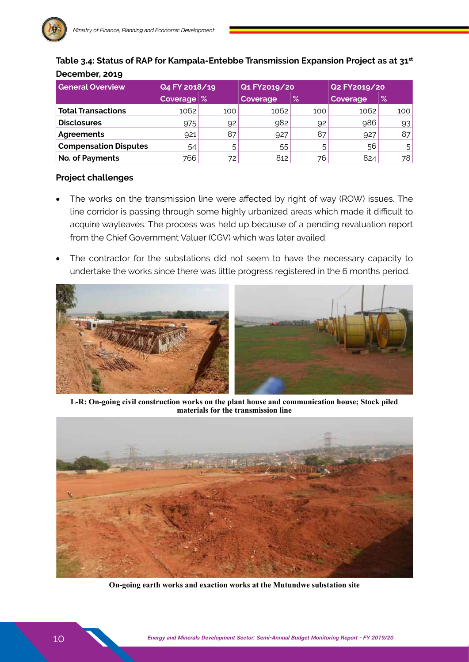

#### **Table 3.4: Status of RAP for Kampala-Entebbe Transmission Expansion Project as at 31st December, 2019**

| <b>General Overview</b>      | Q4 FY 2018/19 |     | Q1 FY2019/20 |     | Q2 FY2019/20 |      |
|------------------------------|---------------|-----|--------------|-----|--------------|------|
|                              | Coverage   %  |     | Coverage     | %   | Coverage     | $\%$ |
| <b>Total Transactions</b>    | 1062          | 100 | 1062         | 100 | 1062         | 100  |
| <b>Disclosures</b>           | 975           | 92  | 982          | 92  | 986          | 93   |
| Agreements                   | 921           | 87  | 927          | 87  | 927          | 87   |
| <b>Compensation Disputes</b> | 54            | 5   | 55           | 5   | 56           | 5    |
| No. of Payments              | 766           | 72  | 812          | 76  | 824          | 78   |

#### **Project challenges**

- The works on the transmission line were affected by right of way (ROW) issues. The line corridor is passing through some highly urbanized areas which made it difficult to acquire wayleaves. The process was held up because of a pending revaluation report from the Chief Government Valuer (CGV) which was later availed.
- The contractor for the substations did not seem to have the necessary capacity to undertake the works since there was little progress registered in the 6 months period.



**L-R: On-going civil construction works on the plant house and communication house; Stock piled materials for the transmission line**



**On-going earth works and exaction works at the Mutundwe substation site**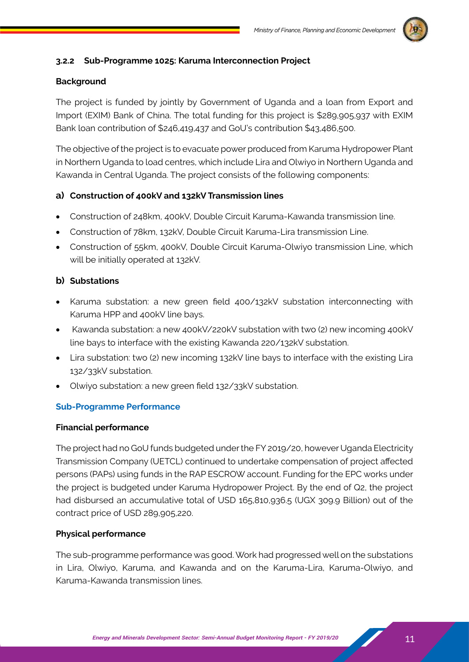

#### **3.2.2 Sub-Programme 1025: Karuma Interconnection Project**

#### **Background**

The project is funded by jointly by Government of Uganda and a loan from Export and Import (EXIM) Bank of China. The total funding for this project is \$289,905,937 with EXIM Bank loan contribution of \$246,419,437 and GoU's contribution \$43,486,500.

The objective of the project is to evacuate power produced from Karuma Hydropower Plant in Northern Uganda to load centres, which include Lira and Olwiyo in Northern Uganda and Kawanda in Central Uganda. The project consists of the following components:

#### **a) Construction of 400kV and 132kV Transmission lines**

- Construction of 248km, 400kV, Double Circuit Karuma-Kawanda transmission line.
- Construction of 78km, 132kV, Double Circuit Karuma-Lira transmission Line.
- Construction of 55km, 400kV, Double Circuit Karuma-Olwiyo transmission Line, which will be initially operated at 132kV.

#### **b) Substations**

- Karuma substation: a new green field 400/132kV substation interconnecting with Karuma HPP and 400kV line bays.
- Kawanda substation: a new 400kV/220kV substation with two (2) new incoming 400kV line bays to interface with the existing Kawanda 220/132kV substation.
- Lira substation: two (2) new incoming 132kV line bays to interface with the existing Lira 132/33kV substation.
- Olwiyo substation: a new green field 132/33kV substation.

#### **Sub-Programme Performance**

#### **Financial performance**

The project had no GoU funds budgeted under the FY 2019/20, however Uganda Electricity Transmission Company (UETCL) continued to undertake compensation of project affected persons (PAPs) using funds in the RAP ESCROW account. Funding for the EPC works under the project is budgeted under Karuma Hydropower Project. By the end of Q2, the project had disbursed an accumulative total of USD 165,810,936.5 (UGX 309.9 Billion) out of the contract price of USD 289,905,220.

#### **Physical performance**

The sub-programme performance was good. Work had progressed well on the substations in Lira, Olwiyo, Karuma, and Kawanda and on the Karuma-Lira, Karuma-Olwiyo, and Karuma-Kawanda transmission lines.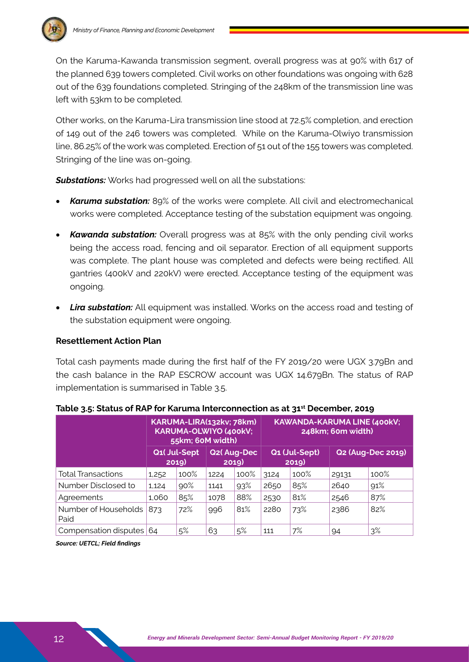

On the Karuma-Kawanda transmission segment, overall progress was at 90% with 617 of the planned 639 towers completed. Civil works on other foundations was ongoing with 628 out of the 639 foundations completed. Stringing of the 248km of the transmission line was left with 53km to be completed.

Other works, on the Karuma-Lira transmission line stood at 72.5% completion, and erection of 149 out of the 246 towers was completed. While on the Karuma-Olwiyo transmission line, 86.25% of the work was completed. Erection of 51 out of the 155 towers was completed. Stringing of the line was on-going.

*Substations:* Works had progressed well on all the substations:

- **Karuma substation:** 89% of the works were complete. All civil and electromechanical works were completed. Acceptance testing of the substation equipment was ongoing.
- *Kawanda substation:* Overall progress was at 85% with the only pending civil works being the access road, fencing and oil separator. Erection of all equipment supports was complete. The plant house was completed and defects were being rectified. All gantries (400kV and 220kV) were erected. Acceptance testing of the equipment was ongoing.
- **Lira substation:** All equipment was installed. Works on the access road and testing of the substation equipment were ongoing.

#### **Resettlement Action Plan**

Total cash payments made during the first half of the FY 2019/20 were UGX 3.79Bn and the cash balance in the RAP ESCROW account was UGX 14.679Bn. The status of RAP implementation is summarised in Table 3.5.

|                              | KARUMA-LIRA(132kv; 78km)<br>KARUMA-OLWIYO (400kV;<br>55km; 60M width) |                      |      |                    | KAWANDA-KARUMA LINE (400kV;<br>248km; 60m width) |      |                          |      |
|------------------------------|-----------------------------------------------------------------------|----------------------|------|--------------------|--------------------------------------------------|------|--------------------------|------|
|                              |                                                                       | Q1(Jul-Sept<br>2019) |      | Q2(Aug-Dec<br>2019 | Q1 (Jul-Sept)<br>2019)                           |      | <b>Q2 (Aug-Dec 2019)</b> |      |
| <b>Total Transactions</b>    | 1,252                                                                 | 100%                 | 1224 | 100%               | 3124                                             | 100% | 29131                    | 100% |
| Number Disclosed to          | 1,124                                                                 | $90\%$               | 1141 | 93%                | 2650                                             | 85%  | 2640                     | 91%  |
| Agreements                   | 1,060                                                                 | 85%                  | 1078 | 88%                | 2530                                             | 81%  | 2546                     | 87%  |
| Number of Households<br>Paid | 873                                                                   | 72%                  | 996  | 81%                | 2280                                             | 73%  | 2386                     | 82%  |
| Compensation disputes 64     |                                                                       | 5%                   | 63   | 5%                 | 111                                              | 7%   | 94                       | 3%   |

#### **Table 3.5: Status of RAP for Karuma Interconnection as at 31st December, 2019**

*Source: UETCL; Field findings*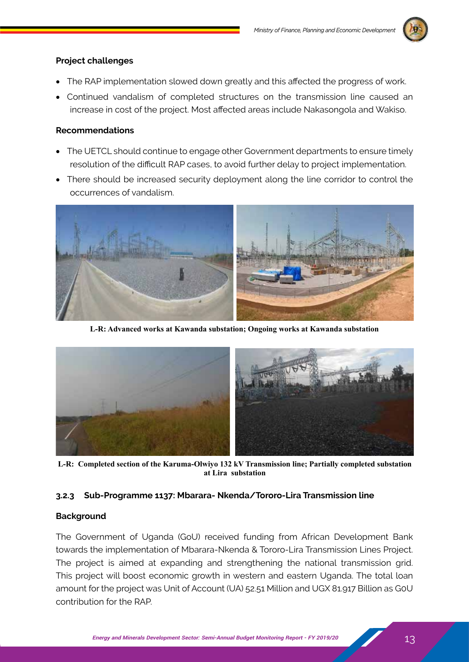

#### **Project challenges**

- The RAP implementation slowed down greatly and this affected the progress of work.
- Continued vandalism of completed structures on the transmission line caused an increase in cost of the project. Most affected areas include Nakasongola and Wakiso.

#### **Recommendations**

- The UETCL should continue to engage other Government departments to ensure timely resolution of the difficult RAP cases, to avoid further delay to project implementation.
- There should be increased security deployment along the line corridor to control the occurrences of vandalism.



**L-R: Advanced works at Kawanda substation; Ongoing works at Kawanda substation**



**L-R: Completed section of the Karuma-Olwiyo 132 kV Transmission line; Partially completed substation at Lira substation**

#### **3.2.3 Sub-Programme 1137: Mbarara- Nkenda/Tororo-Lira Transmission line**

#### **Background**

The Government of Uganda (GoU) received funding from African Development Bank towards the implementation of Mbarara-Nkenda & Tororo-Lira Transmission Lines Project. The project is aimed at expanding and strengthening the national transmission grid. This project will boost economic growth in western and eastern Uganda. The total loan amount for the project was Unit of Account (UA) 52.51 Million and UGX 81.917 Billion as G0U contribution for the RAP.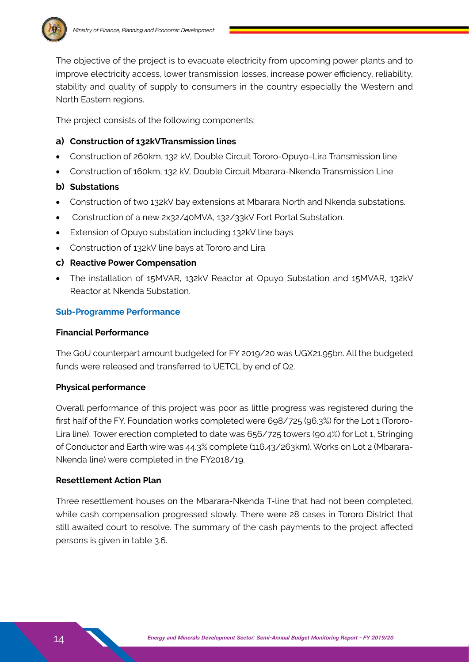

The project consists of the following components:

#### **a) Construction of 132kVTransmission lines**

- Construction of 260km, 132 kV, Double Circuit Tororo-Opuyo-Lira Transmission line
- Construction of 160km, 132 kV, Double Circuit Mbarara-Nkenda Transmission Line

#### **b) Substations**

- Construction of two 132kV bay extensions at Mbarara North and Nkenda substations.
- Construction of a new 2x32/40MVA, 132/33kV Fort Portal Substation.
- Extension of Opuyo substation including 132kV line bays
- Construction of 132kV line bays at Tororo and Lira

#### **c) Reactive Power Compensation**

• The installation of 15MVAR, 132kV Reactor at Opuyo Substation and 15MVAR, 132kV Reactor at Nkenda Substation.

#### **Sub-Programme Performance**

#### **Financial Performance**

The GoU counterpart amount budgeted for FY 2019/20 was UGX21.95bn. All the budgeted funds were released and transferred to UETCL by end of Q2.

#### **Physical performance**

Overall performance of this project was poor as little progress was registered during the first half of the FY. Foundation works completed were 698/725 (96.3%) for the Lot 1 (Tororo-Lira line), Tower erection completed to date was 656/725 towers (90.4%) for Lot 1, Stringing of Conductor and Earth wire was 44.3% complete (116.43/263km). Works on Lot 2 (Mbarara-Nkenda line) were completed in the FY2018/19.

#### **Resettlement Action Plan**

Three resettlement houses on the Mbarara-Nkenda T-line that had not been completed, while cash compensation progressed slowly. There were 28 cases in Tororo District that still awaited court to resolve. The summary of the cash payments to the project affected persons is given in table 3.6.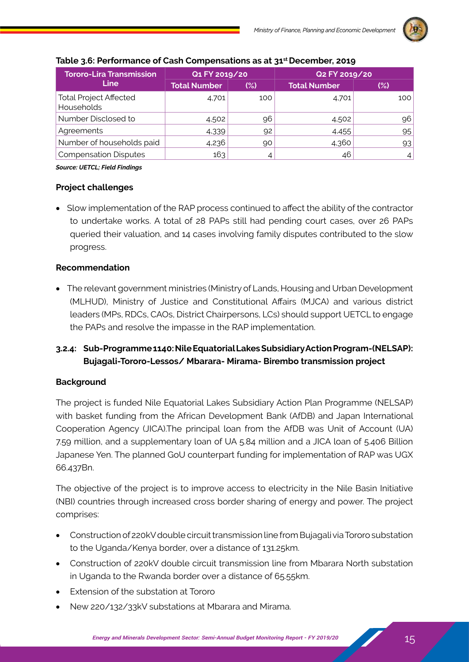

| <b>Tororo-Lira Transmission</b>             | Q1 FY 2019/20       |        | Q2 FY 2019/20       |                |  |  |
|---------------------------------------------|---------------------|--------|---------------------|----------------|--|--|
| Line                                        | <b>Total Number</b> | $(\%)$ | <b>Total Number</b> | $(\%)$         |  |  |
| <b>Total Project Affected</b><br>Households | 4,701               | 100    | 4,701               | 100            |  |  |
| Number Disclosed to                         | 4,502               | 96     | 4,502               | 96             |  |  |
| Agreements                                  | 4,339               | 92     | 4,455               | 95             |  |  |
| Number of households paid                   | 4,236               | 90     | 4,360               | 93             |  |  |
| <b>Compensation Disputes</b>                | 163                 |        | 46                  | $\overline{4}$ |  |  |

#### **Table 3.6: Performance of Cash Compensations as at 31st December, 2019**

*Source: UETCL; Field Findings*

#### **Project challenges**

• Slow implementation of the RAP process continued to affect the ability of the contractor to undertake works. A total of 28 PAPs still had pending court cases, over 26 PAPs queried their valuation, and 14 cases involving family disputes contributed to the slow progress.

#### **Recommendation**

• The relevant government ministries (Ministry of Lands, Housing and Urban Development (MLHUD), Ministry of Justice and Constitutional Affairs (MJCA) and various district leaders (MPs, RDCs, CAOs, District Chairpersons, LCs) should support UETCL to engage the PAPs and resolve the impasse in the RAP implementation.

### **3.2.4: Sub-Programme 1140: Nile Equatorial Lakes Subsidiary Action Program-(NELSAP): Bujagali-Tororo-Lessos/ Mbarara- Mirama- Birembo transmission project**

#### **Background**

The project is funded Nile Equatorial Lakes Subsidiary Action Plan Programme (NELSAP) with basket funding from the African Development Bank (AfDB) and Japan International Cooperation Agency (JICA).The principal loan from the AfDB was Unit of Account (UA) 7.59 million, and a supplementary loan of UA 5.84 million and a JICA loan of 5.406 Billion Japanese Yen. The planned GoU counterpart funding for implementation of RAP was UGX 66.437Bn.

The objective of the project is to improve access to electricity in the Nile Basin Initiative (NBI) countries through increased cross border sharing of energy and power. The project comprises:

- Construction of 220kV double circuit transmission line from Bujagali via Tororo substation to the Uganda/Kenya border, over a distance of 131.25km.
- Construction of 220kV double circuit transmission line from Mbarara North substation in Uganda to the Rwanda border over a distance of 65.55km.
- **Extension of the substation at Tororo**
- New 220/132/33kV substations at Mbarara and Mirama.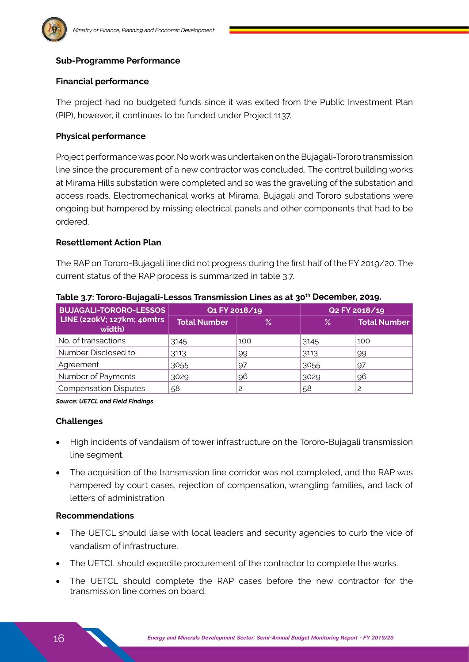

#### **Sub-Programme Performance**

#### **Financial performance**

The project had no budgeted funds since it was exited from the Public Investment Plan (PIP), however, it continues to be funded under Project 1137.

#### **Physical performance**

Project performance was poor. No work was undertaken on the Bujagali-Tororo transmission line since the procurement of a new contractor was concluded. The control building works at Mirama Hills substation were completed and so was the gravelling of the substation and access roads. Electromechanical works at Mirama, Bujagali and Tororo substations were ongoing but hampered by missing electrical panels and other components that had to be ordered.

#### **Resettlement Action Plan**

The RAP on Tororo-Bujagali line did not progress during the first half of the FY 2019/20. The current status of the RAP process is summarized in table 3.7.

| <b>BUJAGALI-TORORO-LESSOS</b>        | Q1 FY 2018/19       |      | Q2 FY 2018/19 |                     |  |
|--------------------------------------|---------------------|------|---------------|---------------------|--|
| LINE (220kV; 127km; 40mtrs<br>width) | <b>Total Number</b> | $\%$ | ℅             | <b>Total Number</b> |  |
| No. of transactions                  | 3145                | 100  | 3145          | 100                 |  |
| Number Disclosed to                  | 3113                | 99   | 3113          | 99                  |  |
| Agreement                            | 3055                | 97   | 3055          | 97                  |  |
| Number of Payments                   | 3029                | 96   | 3029          | 96                  |  |
| <b>Compensation Disputes</b>         | 58                  | 2    | 58            | 2                   |  |

#### **Table 3.7: Tororo-Bujagali-Lessos Transmission Lines as at 30th December, 2019.**

*Source: UETCL and Field Findings* 

#### **Challenges**

- High incidents of vandalism of tower infrastructure on the Tororo-Bujagali transmission line segment.
- The acquisition of the transmission line corridor was not completed, and the RAP was hampered by court cases, rejection of compensation, wrangling families, and lack of letters of administration.

#### **Recommendations**

- The UETCL should liaise with local leaders and security agencies to curb the vice of vandalism of infrastructure.
- The UETCL should expedite procurement of the contractor to complete the works.
- The UETCL should complete the RAP cases before the new contractor for the transmission line comes on board.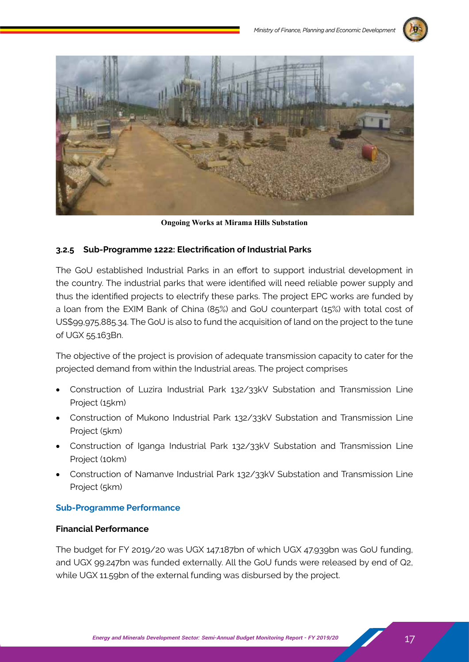



**Ongoing Works at Mirama Hills Substation**

#### **3.2.5 Sub-Programme 1222: Electrification of Industrial Parks**

The GoU established Industrial Parks in an effort to support industrial development in the country. The industrial parks that were identified will need reliable power supply and thus the identified projects to electrify these parks. The project EPC works are funded by a loan from the EXIM Bank of China (85%) and GoU counterpart (15%) with total cost of US\$99,975,885.34. The GoU is also to fund the acquisition of land on the project to the tune of UGX 55.163Bn.

The objective of the project is provision of adequate transmission capacity to cater for the projected demand from within the Industrial areas. The project comprises

- Construction of Luzira Industrial Park 132/33kV Substation and Transmission Line Project (15km)
- Construction of Mukono Industrial Park 132/33kV Substation and Transmission Line Project (5km)
- Construction of Iganga Industrial Park 132/33kV Substation and Transmission Line Project (10km)
- Construction of Namanve Industrial Park 132/33kV Substation and Transmission Line Project (5km)

#### **Sub-Programme Performance**

#### **Financial Performance**

The budget for FY 2019/20 was UGX 147.187bn of which UGX 47.939bn was GoU funding, and UGX 99.247bn was funded externally. All the GoU funds were released by end of Q2, while UGX 11.59bn of the external funding was disbursed by the project.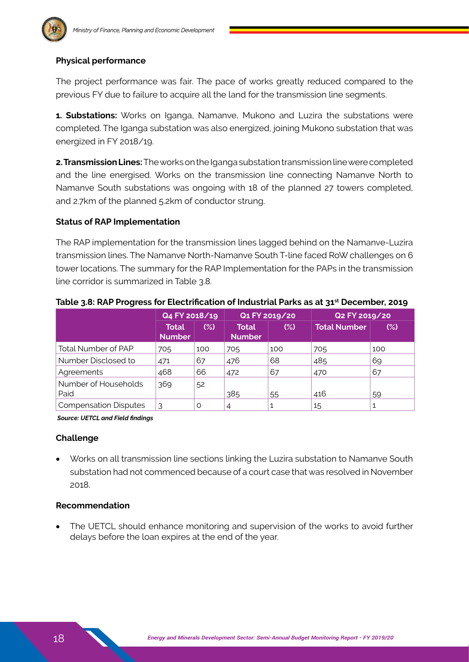

#### **Physical performance**

The project performance was fair. The pace of works greatly reduced compared to the previous FY due to failure to acquire all the land for the transmission line segments.

**1. Substations:** Works on Iganga, Namanve, Mukono and Luzira the substations were completed. The Iganga substation was also energized, joining Mukono substation that was energized in FY 2018/19.

**2. Transmission Lines:** The works on the Iganga substation transmission line were completed and the line energised. Works on the transmission line connecting Namanve North to Namanve South substations was ongoing with 18 of the planned 27 towers completed, and 2.7km of the planned 5.2km of conductor strung.

#### **Status of RAP Implementation**

The RAP implementation for the transmission lines lagged behind on the Namanve-Luzira transmission lines. The Namanve North-Namanve South T-line faced RoW challenges on 6 tower locations. The summary for the RAP Implementation for the PAPs in the transmission line corridor is summarized in Table 3.8.

|                              | Q4 FY 2018/19                 |        | Q1 FY 2019/20                 |        | Q2 FY 2019/20       |        |
|------------------------------|-------------------------------|--------|-------------------------------|--------|---------------------|--------|
|                              | <b>Total</b><br><b>Number</b> | $(\%)$ | <b>Total</b><br><b>Number</b> | $(\%)$ | <b>Total Number</b> | $(\%)$ |
| <b>Total Number of PAP</b>   | 705                           | 100    | 705                           | 100    | 705                 | 100    |
| Number Disclosed to          | 471                           | 67     | 476                           | 68     | 485                 | 69     |
| Agreements                   | 468                           | 66     | 472                           | 67     | 470                 | 67     |
| Number of Households<br>Paid | 369                           | 52     | 385                           | 55     | 416                 | 59     |
| <b>Compensation Disputes</b> | 3                             | O      | 4                             |        | 15                  |        |

#### **Table 3.8: RAP Progress for Electrification of Industrial Parks as at 31st December, 2019**

 *Source: UETCL and Field findings*

#### **Challenge**

• Works on all transmission line sections linking the Luzira substation to Namanve South substation had not commenced because of a court case that was resolved in November 2018.

#### **Recommendation**

The UETCL should enhance monitoring and supervision of the works to avoid further delays before the loan expires at the end of the year.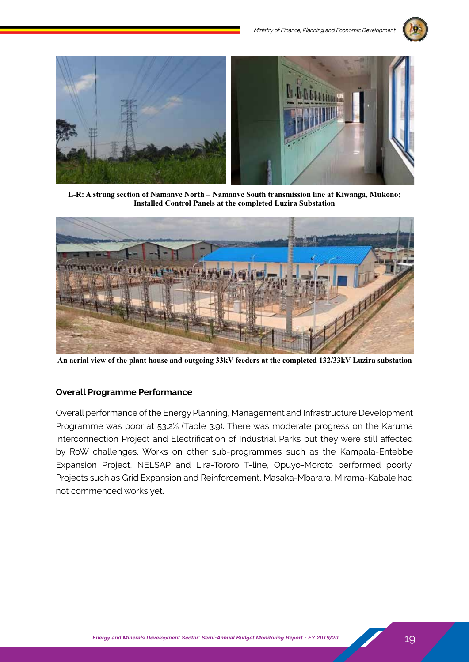



**L-R: A strung section of Namanve North – Namanve South transmission line at Kiwanga, Mukono; Installed Control Panels at the completed Luzira Substation**



**An aerial view of the plant house and outgoing 33kV feeders at the completed 132/33kV Luzira substation**

#### **Overall Programme Performance**

Overall performance of the Energy Planning, Management and Infrastructure Development Programme was poor at 53.2% (Table 3.9). There was moderate progress on the Karuma Interconnection Project and Electrification of Industrial Parks but they were still affected by RoW challenges. Works on other sub-programmes such as the Kampala-Entebbe Expansion Project, NELSAP and Lira-Tororo T-line, Opuyo-Moroto performed poorly. Projects such as Grid Expansion and Reinforcement, Masaka-Mbarara, Mirama-Kabale had not commenced works yet.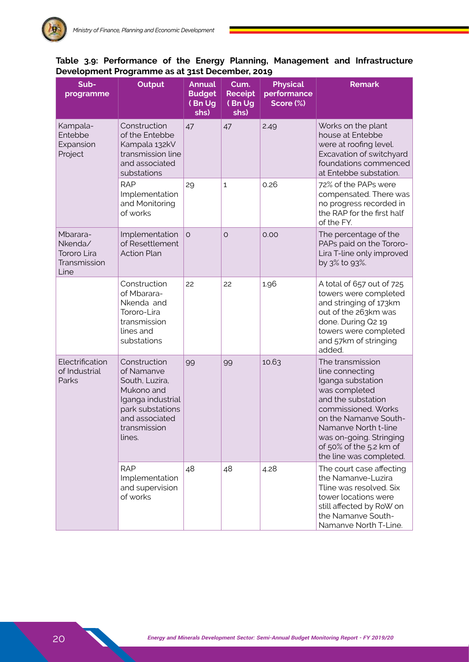#### **Table 3.9: Performance of the Energy Planning, Management and Infrastructure Development Programme as at 31st December, 2019**

| Sub-<br>programme                                          | <b>Output</b>                                                                                                                                   | <b>Annual</b><br><b>Budget</b><br>(Bn Ug<br>shs) | Cum.<br><b>Receipt</b><br>(Bn Ug<br>shs) | <b>Physical</b><br>performance<br>Score (%) | <b>Remark</b>                                                                                                                                                                                                                                            |
|------------------------------------------------------------|-------------------------------------------------------------------------------------------------------------------------------------------------|--------------------------------------------------|------------------------------------------|---------------------------------------------|----------------------------------------------------------------------------------------------------------------------------------------------------------------------------------------------------------------------------------------------------------|
| Kampala-<br>Entebbe<br>Expansion<br>Project                | Construction<br>of the Entebbe<br>Kampala 132kV<br>transmission line<br>and associated<br>substations                                           | 47                                               | 47                                       | 2.49                                        | Works on the plant<br>house at Entebbe<br>were at roofing level.<br>Excavation of switchyard<br>foundations commenced<br>at Entebbe substation.                                                                                                          |
|                                                            | <b>RAP</b><br>Implementation<br>and Monitoring<br>of works                                                                                      | 29                                               | $\mathbf{1}$                             | 0.26                                        | 72% of the PAPs were<br>compensated. There was<br>no progress recorded in<br>the RAP for the first half<br>of the FY.                                                                                                                                    |
| Mbarara-<br>Nkenda/<br>Tororo Lira<br>Transmission<br>Line | Implementation<br>of Resettlement<br><b>Action Plan</b>                                                                                         | $\circ$                                          | $\circ$                                  | 0.00                                        | The percentage of the<br>PAPs paid on the Tororo-<br>Lira T-line only improved<br>by 3% to 93%.                                                                                                                                                          |
|                                                            | Construction<br>of Mbarara-<br>Nkenda and<br>Tororo-Lira<br>transmission<br>lines and<br>substations                                            | 22                                               | 22                                       | 1.96                                        | A total of 657 out of 725<br>towers were completed<br>and stringing of 173km<br>out of the 263km was<br>done. During Q2 19<br>towers were completed<br>and 57km of stringing<br>added.                                                                   |
| Electrification<br>of Industrial<br>Parks                  | Construction<br>of Namanve<br>South, Luzira,<br>Mukono and<br>Iganga industrial<br>park substations<br>and associated<br>transmission<br>lines. | 99                                               | 99                                       | 10.63                                       | The transmission<br>line connecting<br>Iganga substation<br>was completed<br>and the substation<br>commissioned. Works<br>on the Namanve South-<br>Namanye North t-line<br>was on-going. Stringing<br>of 50% of the 5.2 km of<br>the line was completed. |
|                                                            | <b>RAP</b><br>Implementation<br>and supervision<br>of works                                                                                     | 48                                               | 48                                       | 4.28                                        | The court case affecting<br>the Namanye-Luzira<br>Tline was resolved. Six<br>tower locations were<br>still affected by RoW on<br>the Namanve South-<br>Namanve North T-Line.                                                                             |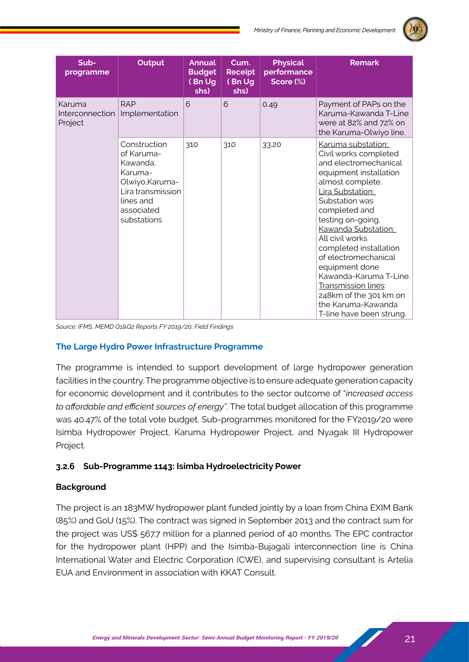

| Sub-<br>programme                    | Output                                                                                                                              | <b>Annual</b><br><b>Budget</b><br>(Bn Ug<br>shs) | Cum.<br><b>Receipt</b><br>(Bn Ug<br>shs) | <b>Physical</b><br>performance<br>Score (%) | <b>Remark</b>                                                                                                                                                                                                                                                                                                                                                                                                                             |
|--------------------------------------|-------------------------------------------------------------------------------------------------------------------------------------|--------------------------------------------------|------------------------------------------|---------------------------------------------|-------------------------------------------------------------------------------------------------------------------------------------------------------------------------------------------------------------------------------------------------------------------------------------------------------------------------------------------------------------------------------------------------------------------------------------------|
| Karuma<br>Interconnection<br>Project | <b>RAP</b><br>Implementation                                                                                                        | 6                                                | 6                                        | 0.49                                        | Payment of PAPs on the<br>Karuma-Kawanda T-Line<br>were at 82% and 72% on<br>the Karuma-Olwiyo line.                                                                                                                                                                                                                                                                                                                                      |
|                                      | Construction<br>of Karuma-<br>Kawanda,<br>Karuma-<br>Olwiyo, Karuma-<br>Lira transmission<br>lines and<br>associated<br>substations | 310                                              | 310                                      | 33.20                                       | Karuma substation:<br>Civil works completed<br>and electromechanical<br>equipment installation<br>almost complete.<br>Lira Substation:<br>Substation was<br>completed and<br>testing on-going.<br>Kawanda Substation:<br>All civil works<br>completed installation<br>of electromechanical<br>equipment done<br>Kawanda-Karuma T-Line.<br>Transmission lines:<br>248km of the 301 km on<br>the Karuma-Kawanda<br>T-line have been strung. |

*Source: IFMS, MEMD Q1&Q2 Reports FY 2019/20, Field Findings*

#### **The Large Hydro Power Infrastructure Programme**

The programme is intended to support development of large hydropower generation facilities in the country. The programme objective is to ensure adequate generation capacity for economic development and it contributes to the sector outcome of "*increased access to affordable and efficient sources of energy"*. The total budget allocation of this programme was 40.47% of the total vote budget. Sub-programmes monitored for the FY2019/20 were Isimba Hydropower Project, Karuma Hydropower Project, and Nyagak III Hydropower Project.

#### **3.2.6 Sub-Programme 1143: Isimba Hydroelectricity Power**

#### **Background**

The project is an 183MW hydropower plant funded jointly by a loan from China EXIM Bank (85%) and GoU (15%). The contract was signed in September 2013 and the contract sum for the project was US\$ 567.7 million for a planned period of 40 months. The EPC contractor for the hydropower plant (HPP) and the Isimba-Bujagali interconnection line is China International Water and Electric Corporation (CWE), and supervising consultant is Artelia EUA and Environment in association with KKAT Consult.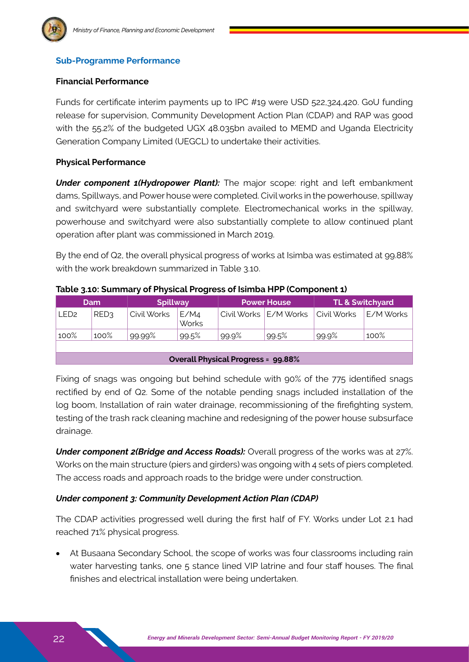#### **Sub-Programme Performance**

#### **Financial Performance**

Funds for certificate interim payments up to IPC #19 were USD 522,324,420. GoU funding release for supervision, Community Development Action Plan (CDAP) and RAP was good with the 55.2% of the budgeted UGX 48.035bn availed to MEMD and Uganda Electricity Generation Company Limited (UEGCL) to undertake their activities.

#### **Physical Performance**

*Under component 1(Hydropower Plant):* The major scope: right and left embankment dams, Spillways, and Power house were completed. Civil works in the powerhouse, spillway and switchyard were substantially complete. Electromechanical works in the spillway, powerhouse and switchyard were also substantially complete to allow continued plant operation after plant was commissioned in March 2019.

By the end of Q2, the overall physical progress of works at Isimba was estimated at 99.88% with the work breakdown summarized in Table 3.10.

|                                           | <b>Dam</b> | <b>Spillway</b> |                                  |       | <b>Power House</b>      | <b>TL &amp; Switchyard</b> |           |
|-------------------------------------------|------------|-----------------|----------------------------------|-------|-------------------------|----------------------------|-----------|
| LED <sub>2</sub>                          | RED3       | Civil Works     | E/M <sub>4</sub><br><b>Works</b> |       | Civil Works   E/M Works | Civil Works                | E/M Works |
| 100%                                      | 100%       | 99.99%          | 99.5%                            | 99.9% | 99.5%                   | 99.9%                      | 100%      |
| <b>Overall Physical Progress = 99.88%</b> |            |                 |                                  |       |                         |                            |           |

#### **Table 3.10: Summary of Physical Progress of Isimba HPP (Component 1)**

### Fixing of snags was ongoing but behind schedule with 90% of the 775 identified snags rectified by end of Q2. Some of the notable pending snags included installation of the log boom, Installation of rain water drainage, recommissioning of the firefighting system, testing of the trash rack cleaning machine and redesigning of the power house subsurface drainage.

*Under component 2(Bridge and Access Roads):* Overall progress of the works was at 27%. Works on the main structure (piers and girders) was ongoing with 4 sets of piers completed. The access roads and approach roads to the bridge were under construction.

#### *Under component 3: Community Development Action Plan (CDAP)*

The CDAP activities progressed well during the first half of FY. Works under Lot 2.1 had reached 71% physical progress.

At Busaana Secondary School, the scope of works was four classrooms including rain water harvesting tanks, one 5 stance lined VIP latrine and four staff houses. The final finishes and electrical installation were being undertaken.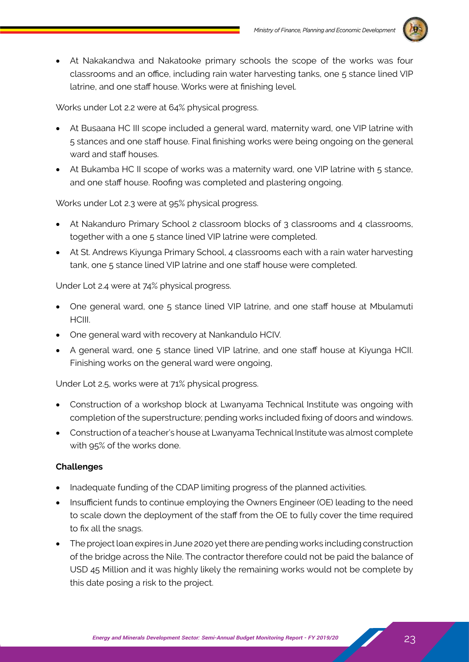

• At Nakakandwa and Nakatooke primary schools the scope of the works was four classrooms and an office, including rain water harvesting tanks, one 5 stance lined VIP latrine, and one staff house. Works were at finishing level.

Works under Lot 2.2 were at 64% physical progress.

- At Busaana HC III scope included a general ward, maternity ward, one VIP latrine with 5 stances and one staff house. Final finishing works were being ongoing on the general ward and staff houses.
- $\bullet$  At Bukamba HC II scope of works was a maternity ward, one VIP latrine with 5 stance, and one staff house. Roofing was completed and plastering ongoing.

Works under Lot 2.3 were at 95% physical progress.

- At Nakanduro Primary School 2 classroom blocks of 3 classrooms and 4 classrooms, together with a one 5 stance lined VIP latrine were completed.
- At St. Andrews Kiyunga Primary School, 4 classrooms each with a rain water harvesting tank, one 5 stance lined VIP latrine and one staff house were completed.

Under Lot 2.4 were at 74% physical progress.

- One general ward, one 5 stance lined VIP latrine, and one staff house at Mbulamuti HCIII.
- One general ward with recovery at Nankandulo HCIV.
- A general ward, one 5 stance lined VIP latrine, and one staff house at Kiyunga HCII. Finishing works on the general ward were ongoing,

Under Lot 2.5, works were at 71% physical progress.

- Construction of a workshop block at Lwanyama Technical Institute was ongoing with completion of the superstructure; pending works included fixing of doors and windows.
- Construction of a teacher's house at Lwanyama Technical Institute was almost complete with 95% of the works done.

### **Challenges**

- Inadequate funding of the CDAP limiting progress of the planned activities.
- Insufficient funds to continue employing the Owners Engineer (OE) leading to the need to scale down the deployment of the staff from the OE to fully cover the time required to fix all the snags.
- The project loan expires in June 2020 yet there are pending works including construction of the bridge across the Nile. The contractor therefore could not be paid the balance of USD 45 Million and it was highly likely the remaining works would not be complete by this date posing a risk to the project.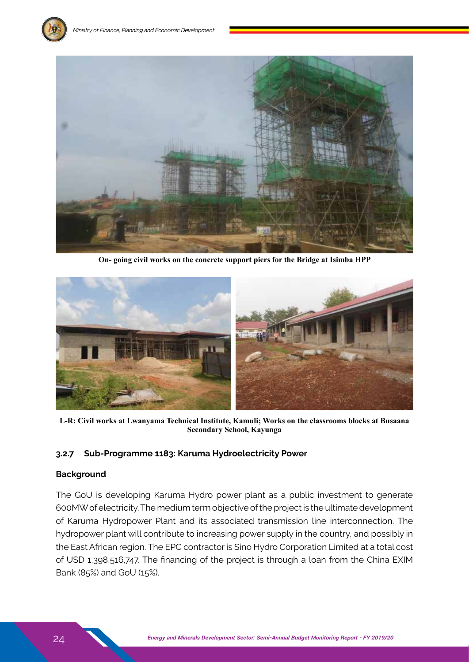

**On- going civil works on the concrete support piers for the Bridge at Isimba HPP**



**L-R: Civil works at Lwanyama Technical Institute, Kamuli; Works on the classrooms blocks at Busaana Secondary School, Kayunga**

### **3.2.7 Sub-Programme 1183: Karuma Hydroelectricity Power**

#### **Background**

The GoU is developing Karuma Hydro power plant as a public investment to generate 600MW of electricity. The medium term objective of the project is the ultimate development of Karuma Hydropower Plant and its associated transmission line interconnection. The hydropower plant will contribute to increasing power supply in the country, and possibly in the East African region. The EPC contractor is Sino Hydro Corporation Limited at a total cost of USD 1,398,516,747. The financing of the project is through a loan from the China EXIM Bank (85%) and GoU (15%).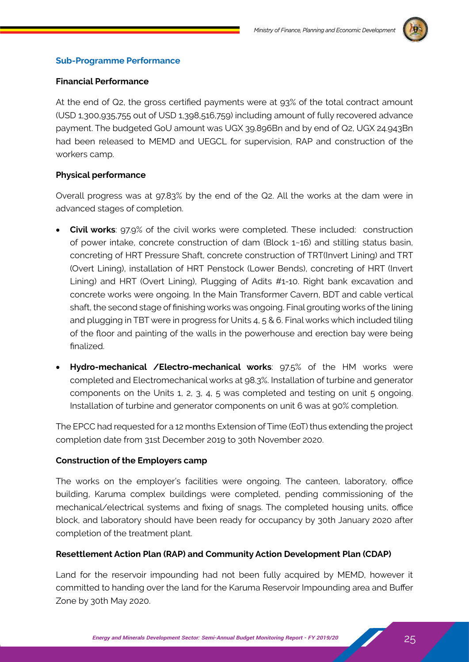

### **Financial Performance**

At the end of Q2, the gross certified payments were at 93% of the total contract amount (USD 1,300,935,755 out of USD 1,398,516,759) including amount of fully recovered advance payment. The budgeted GoU amount was UGX 39.896Bn and by end of Q2, UGX 24.943Bn had been released to MEMD and UEGCL for supervision, RAP and construction of the workers camp.

### **Physical performance**

Overall progress was at 97.83% by the end of the Q2. All the works at the dam were in advanced stages of completion.

- • **Civil works**: 97.9% of the civil works were completed. These included: construction of power intake, concrete construction of dam (Block 1~16) and stilling status basin, concreting of HRT Pressure Shaft, concrete construction of TRT(Invert Lining) and TRT (Overt Lining), installation of HRT Penstock (Lower Bends), concreting of HRT (Invert Lining) and HRT (Overt Lining), Plugging of Adits #1-10. Right bank excavation and concrete works were ongoing. In the Main Transformer Cavern, BDT and cable vertical shaft, the second stage of finishing works was ongoing. Final grouting works of the lining and plugging in TBT were in progress for Units 4, 5 & 6. Final works which included tiling of the floor and painting of the walls in the powerhouse and erection bay were being finalized.
- • **Hydro-mechanical /Electro-mechanical works**: 97.5% of the HM works were completed and Electromechanical works at 98.3%. Installation of turbine and generator components on the Units 1, 2, 3, 4, 5 was completed and testing on unit 5 ongoing. Installation of turbine and generator components on unit 6 was at 90% completion.

The EPCC had requested for a 12 months Extension of Time (EoT) thus extending the project completion date from 31st December 2019 to 30th November 2020.

### **Construction of the Employers camp**

The works on the employer's facilities were ongoing. The canteen, laboratory, office building, Karuma complex buildings were completed, pending commissioning of the mechanical/electrical systems and fixing of snags. The completed housing units, office block, and laboratory should have been ready for occupancy by 30th January 2020 after completion of the treatment plant.

### **Resettlement Action Plan (RAP) and Community Action Development Plan (CDAP)**

Land for the reservoir impounding had not been fully acquired by MEMD, however it committed to handing over the land for the Karuma Reservoir Impounding area and Buffer Zone by 30th May 2020.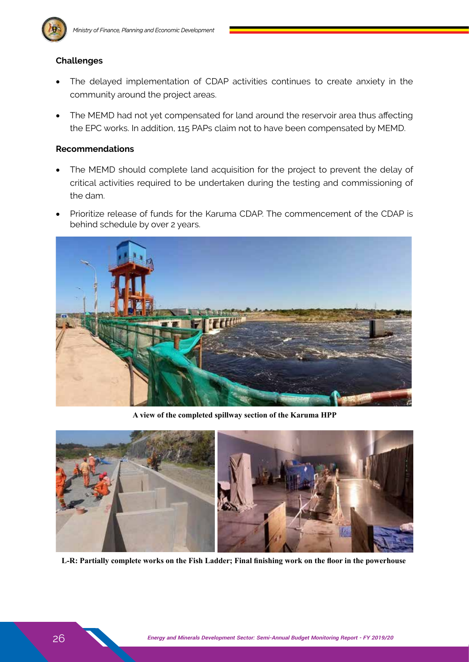

### **Challenges**

- The delayed implementation of CDAP activities continues to create anxiety in the community around the project areas.
- The MEMD had not yet compensated for land around the reservoir area thus affecting the EPC works. In addition, 115 PAPs claim not to have been compensated by MEMD.

#### **Recommendations**

- The MEMD should complete land acquisition for the project to prevent the delay of critical activities required to be undertaken during the testing and commissioning of the dam.
- Prioritize release of funds for the Karuma CDAP. The commencement of the CDAP is behind schedule by over 2 years.



**A view of the completed spillway section of the Karuma HPP**



**L-R: Partially complete works on the Fish Ladder; Final finishing work on the floor in the powerhouse**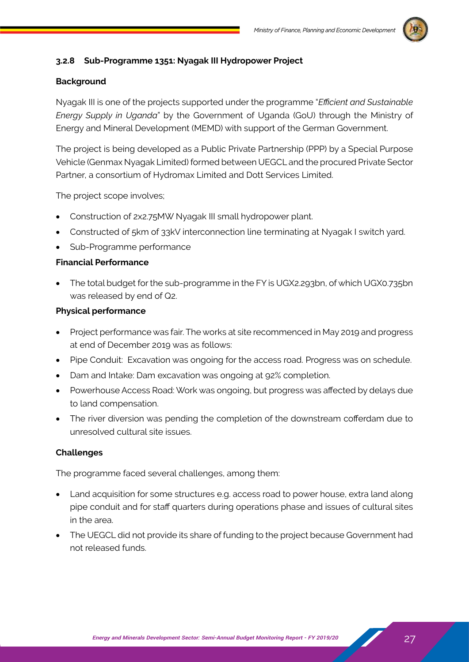

### **3.2.8 Sub-Programme 1351: Nyagak III Hydropower Project**

### **Background**

Nyagak III is one of the projects supported under the programme "*Efficient and Sustainable Energy Supply in Uganda*" by the Government of Uganda (GoU) through the Ministry of Energy and Mineral Development (MEMD) with support of the German Government.

The project is being developed as a Public Private Partnership (PPP) by a Special Purpose Vehicle (Genmax Nyagak Limited) formed between UEGCL and the procured Private Sector Partner, a consortium of Hydromax Limited and Dott Services Limited.

The project scope involves;

- Construction of 2x2.75MW Nyagak III small hydropower plant.
- Constructed of 5km of 33kV interconnection line terminating at Nyagak I switch vard.
- Sub-Programme performance

### **Financial Performance**

The total budget for the sub-programme in the FY is UGX2.293bn, of which UGX0.735bn was released by end of Q2.

### **Physical performance**

- Project performance was fair. The works at site recommenced in May 2019 and progress at end of December 2019 was as follows:
- Pipe Conduit: Excavation was ongoing for the access road. Progress was on schedule.
- Dam and Intake: Dam excavation was ongoing at 92% completion.
- Powerhouse Access Road: Work was ongoing, but progress was affected by delays due to land compensation.
- The river diversion was pending the completion of the downstream cofferdam due to unresolved cultural site issues.

### **Challenges**

The programme faced several challenges, among them:

- Land acquisition for some structures e.g. access road to power house, extra land along pipe conduit and for staff quarters during operations phase and issues of cultural sites in the area.
- The UEGCL did not provide its share of funding to the project because Government had not released funds.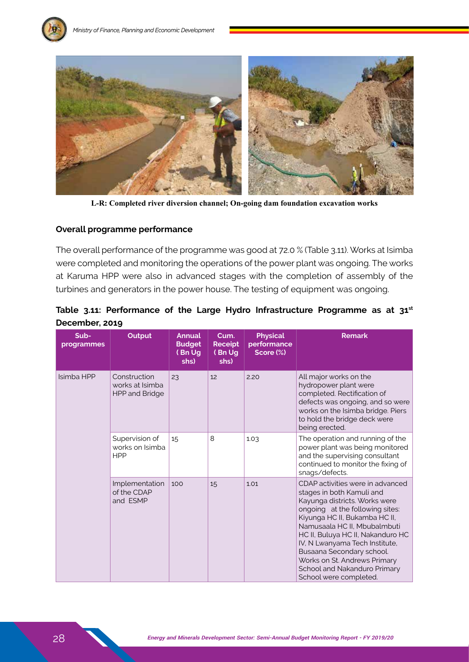

**L-R: Completed river diversion channel; On-going dam foundation excavation works**

### **Overall programme performance**

The overall performance of the programme was good at 72.0 % (Table 3.11). Works at Isimba were completed and monitoring the operations of the power plant was ongoing. The works at Karuma HPP were also in advanced stages with the completion of assembly of the turbines and generators in the power house. The testing of equipment was ongoing.

| Sub-<br>programmes | Output                                                   | <b>Annual</b><br><b>Budget</b><br>(Bn Ug<br>shs) | Cum.<br><b>Receipt</b><br>(Bn Ug<br>shs) | <b>Physical</b><br>performance<br>Score (%) | <b>Remark</b>                                                                                                                                                                                                                                                                                                                                                                                    |
|--------------------|----------------------------------------------------------|--------------------------------------------------|------------------------------------------|---------------------------------------------|--------------------------------------------------------------------------------------------------------------------------------------------------------------------------------------------------------------------------------------------------------------------------------------------------------------------------------------------------------------------------------------------------|
| Isimba HPP         | Construction<br>works at Isimba<br><b>HPP and Bridge</b> | 23                                               | 12                                       | 2.20                                        | All major works on the<br>hydropower plant were<br>completed. Rectification of<br>defects was ongoing, and so were<br>works on the Isimba bridge. Piers<br>to hold the bridge deck were<br>being erected.                                                                                                                                                                                        |
|                    | Supervision of<br>works on Isimba<br><b>HPP</b>          | 15                                               | 8                                        | 1.03                                        | The operation and running of the<br>power plant was being monitored<br>and the supervising consultant<br>continued to monitor the fixing of<br>snags/defects.                                                                                                                                                                                                                                    |
|                    | Implementation<br>of the CDAP<br>and ESMP                | 100                                              | 15                                       | 1.01                                        | CDAP activities were in advanced<br>stages in both Kamuli and<br>Kayunga districts. Works were<br>ongoing at the following sites:<br>Kiyunga HC II, Bukamba HC II,<br>Namusaala HC II. Mbubalmbuti<br>HC II, Buluya HC II, Nakanduro HC<br>IV, N Lwanyama Tech Institute,<br>Busaana Secondary school.<br>Works on St. Andrews Primary<br>School and Nakanduro Primary<br>School were completed. |

|                |  |  | Table 3.11: Performance of the Large Hydro Infrastructure Programme as at $31st$ |  |  |
|----------------|--|--|----------------------------------------------------------------------------------|--|--|
| December, 2019 |  |  |                                                                                  |  |  |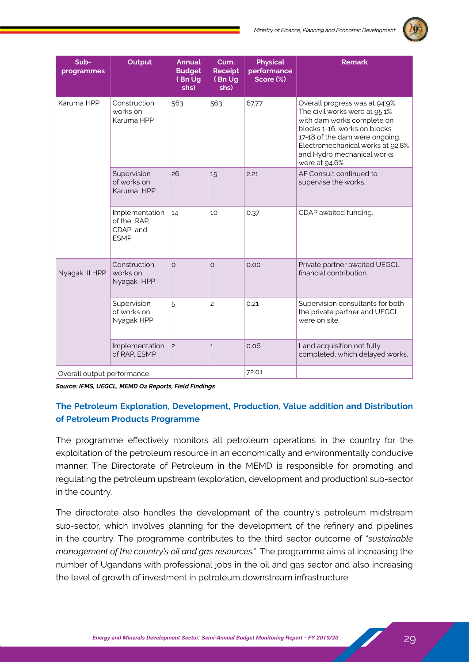

| Sub-<br>programmes         | <b>Output</b>                                            | <b>Annual</b><br><b>Budget</b><br>(Bn Ug<br>shs) | Cum.<br><b>Receipt</b><br>(Bn Ug<br>shs) | <b>Physical</b><br>performance<br>Score (%) | <b>Remark</b>                                                                                                                                                                                                                                       |
|----------------------------|----------------------------------------------------------|--------------------------------------------------|------------------------------------------|---------------------------------------------|-----------------------------------------------------------------------------------------------------------------------------------------------------------------------------------------------------------------------------------------------------|
| Karuma HPP                 | Construction<br>works on<br>Karuma HPP                   | 563                                              | 563                                      | 67.77                                       | Overall progress was at 94.9%.<br>The civil works were at 95.1%<br>with dam works complete on<br>blocks 1-16, works on blocks<br>17-18 of the dam were ongoing.<br>Electromechanical works at 92.8%<br>and Hydro mechanical works<br>were at 94.6%. |
|                            | Supervision<br>of works on<br>Karuma HPP                 | 26                                               | 15                                       | 2.21                                        | AF Consult continued to<br>supervise the works.                                                                                                                                                                                                     |
|                            | Implementation<br>of the RAP.<br>CDAP and<br><b>ESMP</b> | 14                                               | 10                                       | 0.37                                        | CDAP awaited funding.                                                                                                                                                                                                                               |
| Nyagak III HPP             | Construction<br>works on<br>Nyagak HPP                   | $\Omega$                                         | $\overline{O}$                           | 0.00                                        | Private partner awaited UEGCL<br>financial contribution.                                                                                                                                                                                            |
|                            | Supervision<br>of works on<br>Nyagak HPP                 | 5                                                | $\overline{c}$                           | 0.21                                        | Supervision consultants for both<br>the private partner and UEGCL<br>were on site.                                                                                                                                                                  |
|                            | Implementation<br>of RAP, ESMP                           | $\overline{c}$                                   | $\mathbf{1}$                             | 0.06                                        | Land acquisition not fully<br>completed, which delayed works.                                                                                                                                                                                       |
| Overall output performance |                                                          |                                                  |                                          | 72.01                                       |                                                                                                                                                                                                                                                     |

*Source: IFMS, UEGCL, MEMD Q2 Reports, Field Findings*

### **The Petroleum Exploration, Development, Production, Value addition and Distribution of Petroleum Products Programme**

The programme effectively monitors all petroleum operations in the country for the exploitation of the petroleum resource in an economically and environmentally conducive manner. The Directorate of Petroleum in the MEMD is responsible for promoting and regulating the petroleum upstream (exploration, development and production) sub-sector in the country.

The directorate also handles the development of the country's petroleum midstream sub-sector, which involves planning for the development of the refinery and pipelines in the country. The programme contributes to the third sector outcome of "*sustainable management of the country's oil and gas resources."* The programme aims at increasing the number of Ugandans with professional jobs in the oil and gas sector and also increasing the level of growth of investment in petroleum downstream infrastructure.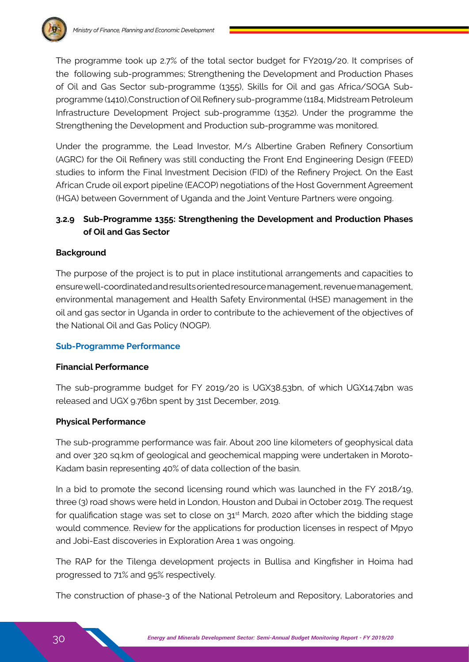

The programme took up 2.7% of the total sector budget for FY2019/20. It comprises of the following sub-programmes; Strengthening the Development and Production Phases of Oil and Gas Sector sub-programme (1355), Skills for Oil and gas Africa/SOGA Subprogramme (1410),Construction of Oil Refinery sub-programme (1184, Midstream Petroleum Infrastructure Development Project sub-programme (1352). Under the programme the Strengthening the Development and Production sub-programme was monitored.

Under the programme, the Lead Investor, M/s Albertine Graben Refinery Consortium (AGRC) for the Oil Refinery was still conducting the Front End Engineering Design (FEED) studies to inform the Final Investment Decision (FID) of the Refinery Project. On the East African Crude oil export pipeline (EACOP) negotiations of the Host Government Agreement (HGA) between Government of Uganda and the Joint Venture Partners were ongoing.

### **3.2.9 Sub-Programme 1355: Strengthening the Development and Production Phases of Oil and Gas Sector**

### **Background**

The purpose of the project is to put in place institutional arrangements and capacities to ensure well-coordinated and results oriented resource management, revenue management, environmental management and Health Safety Environmental (HSE) management in the oil and gas sector in Uganda in order to contribute to the achievement of the objectives of the National Oil and Gas Policy (NOGP).

### **Sub-Programme Performance**

### **Financial Performance**

The sub-programme budget for FY 2019/20 is UGX38.53bn, of which UGX14.74bn was released and UGX 9.76bn spent by 31st December, 2019.

### **Physical Performance**

The sub-programme performance was fair. About 200 line kilometers of geophysical data and over 320 sq.km of geological and geochemical mapping were undertaken in Moroto-Kadam basin representing 40% of data collection of the basin.

In a bid to promote the second licensing round which was launched in the FY 2018/19, three (3) road shows were held in London, Houston and Dubai in October 2019. The request for qualification stage was set to close on 31<sup>st</sup> March, 2020 after which the bidding stage would commence. Review for the applications for production licenses in respect of Mpyo and Jobi-East discoveries in Exploration Area 1 was ongoing.

The RAP for the Tilenga development projects in Bullisa and Kingfisher in Hoima had progressed to 71% and 95% respectively.

The construction of phase-3 of the National Petroleum and Repository, Laboratories and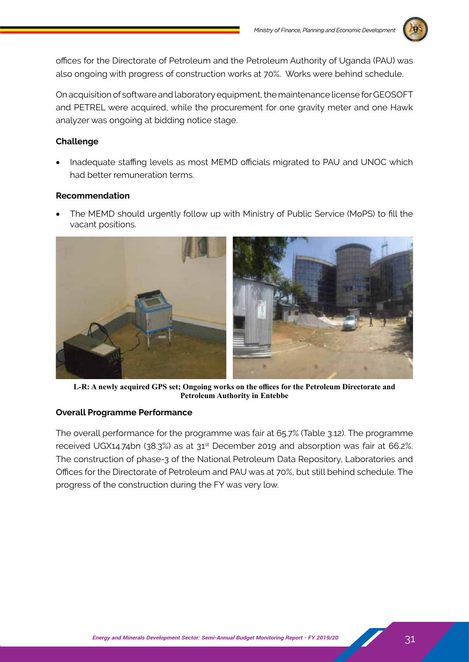

offices for the Directorate of Petroleum and the Petroleum Authority of Uganda (PAU) was also ongoing with progress of construction works at 70%. Works were behind schedule.

On acquisition of software and laboratory equipment, the maintenance license for GEOSOFT and PETREL were acquired, while the procurement for one gravity meter and one Hawk analyzer was ongoing at bidding notice stage.

### **Challenge**

Inadequate staffing levels as most MEMD officials migrated to PAU and UNOC which had better remuneration terms.

### **Recommendation**

The MEMD should urgently follow up with Ministry of Public Service (MoPS) to fill the vacant positions.



**L-R: A newly acquired GPS set; Ongoing works on the offices for the Petroleum Directorate and Petroleum Authority in Entebbe**

### **Overall Programme Performance**

The overall performance for the programme was fair at 65.7% (Table 3.12). The programme received UGX14.74bn (38.3%) as at 31<sup>st</sup> December 2019 and absorption was fair at 66.2%. The construction of phase-3 of the National Petroleum Data Repository, Laboratories and Offices for the Directorate of Petroleum and PAU was at 70%, but still behind schedule. The progress of the construction during the FY was very low.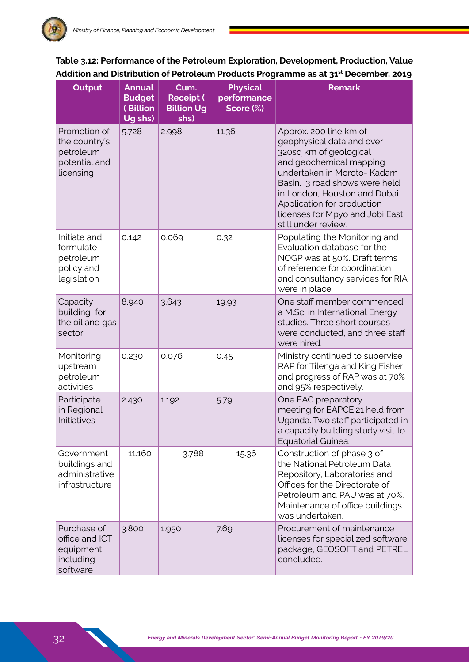

### **Table 3.12: Performance of the Petroleum Exploration, Development, Production, Value Addition and Distribution of Petroleum Products Programme as at 31st December, 2019**

| <b>Output</b>                                                            | <b>Annual</b><br><b>Budget</b><br>(Billion<br>Ug shs) | Cum.<br><b>Receipt (</b><br><b>Billion Ug</b><br>shs) | <b>Physical</b><br>performance<br>Score (%) | <b>Remark</b>                                                                                                                                                                                                                                                                                     |  |  |
|--------------------------------------------------------------------------|-------------------------------------------------------|-------------------------------------------------------|---------------------------------------------|---------------------------------------------------------------------------------------------------------------------------------------------------------------------------------------------------------------------------------------------------------------------------------------------------|--|--|
| Promotion of<br>the country's<br>petroleum<br>potential and<br>licensing | 5.728                                                 | 2.998                                                 | 11.36                                       | Approx. 200 line km of<br>geophysical data and over<br>320sq km of geological<br>and geochemical mapping<br>undertaken in Moroto- Kadam<br>Basin. 3 road shows were held<br>in London, Houston and Dubai.<br>Application for production<br>licenses for Mpyo and Jobi East<br>still under review. |  |  |
| Initiate and<br>formulate<br>petroleum<br>policy and<br>legislation      | 0.142                                                 | 0.069                                                 | 0.32                                        | Populating the Monitoring and<br>Evaluation database for the<br>NOGP was at 50%. Draft terms<br>of reference for coordination<br>and consultancy services for RIA<br>were in place.                                                                                                               |  |  |
| Capacity<br>building for<br>the oil and gas<br>sector                    | 8.940                                                 | 3.643                                                 | 19.93                                       | One staff member commenced<br>a M.Sc. in International Energy<br>studies. Three short courses<br>were conducted, and three staff<br>were hired.                                                                                                                                                   |  |  |
| Monitoring<br>upstream<br>petroleum<br>activities                        | 0.230                                                 | 0.076                                                 | 0.45                                        | Ministry continued to supervise<br>RAP for Tilenga and King Fisher<br>and progress of RAP was at 70%<br>and 95% respectively.                                                                                                                                                                     |  |  |
| Participate<br>in Regional<br>Initiatives                                | 2.430                                                 | 1.192                                                 | 5.79                                        | One EAC preparatory<br>meeting for EAPCE'21 held from<br>Uganda. Two staff participated in<br>a capacity building study visit to<br>Equatorial Guinea.                                                                                                                                            |  |  |
| Government<br>buildings and<br>administrative<br>infrastructure          | 11.160                                                | 3.788                                                 | 15.36                                       | Construction of phase 3 of<br>the National Petroleum Data<br>Repository, Laboratories and<br>Offices for the Directorate of<br>Petroleum and PAU was at 70%.<br>Maintenance of office buildings<br>was undertaken.                                                                                |  |  |
| Purchase of<br>office and ICT<br>equipment<br>including<br>software      | 3.800                                                 | 1.950                                                 | 7.69                                        | Procurement of maintenance<br>licenses for specialized software<br>package, GEOSOFT and PETREL<br>concluded.                                                                                                                                                                                      |  |  |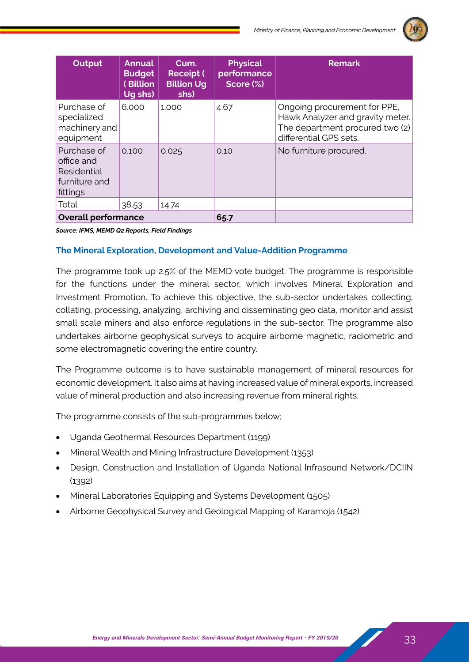

| Output                                                                | <b>Annual</b><br><b>Budget</b><br>(Billion<br>Ug shs) | Cum.<br><b>Receipt (</b><br><b>Billion Ug</b><br>shs) | <b>Physical</b><br>performance<br>Score (%) | <b>Remark</b>                                                                                                                 |
|-----------------------------------------------------------------------|-------------------------------------------------------|-------------------------------------------------------|---------------------------------------------|-------------------------------------------------------------------------------------------------------------------------------|
| Purchase of<br>specialized<br>machinery and<br>equipment              | 6.000                                                 | 1.000                                                 | 4.67                                        | Ongoing procurement for PPE,<br>Hawk Analyzer and gravity meter.<br>The department procured two (2)<br>differential GPS sets. |
| Purchase of<br>office and<br>Residential<br>furniture and<br>fittings | 0.100                                                 | 0.025                                                 | 0.10                                        | No furniture procured.                                                                                                        |
| Total                                                                 | 38.53                                                 | 14.74                                                 |                                             |                                                                                                                               |
| <b>Overall performance</b>                                            |                                                       | 65.7                                                  |                                             |                                                                                                                               |

*Source: IFMS, MEMD Q2 Reports, Field Findings*

### **The Mineral Exploration, Development and Value-Addition Programme**

The programme took up 2.5% of the MEMD vote budget. The programme is responsible for the functions under the mineral sector, which involves Mineral Exploration and Investment Promotion. To achieve this objective, the sub-sector undertakes collecting, collating, processing, analyzing, archiving and disseminating geo data, monitor and assist small scale miners and also enforce regulations in the sub-sector. The programme also undertakes airborne geophysical surveys to acquire airborne magnetic, radiometric and some electromagnetic covering the entire country.

The Programme outcome is to have sustainable management of mineral resources for economic development. It also aims at having increased value of mineral exports, increased value of mineral production and also increasing revenue from mineral rights.

The programme consists of the sub-programmes below;

- • Uganda Geothermal Resources Department (1199)
- Mineral Wealth and Mining Infrastructure Development (1353)
- Design, Construction and Installation of Uganda National Infrasound Network/DCIIN (1392)
- Mineral Laboratories Equipping and Systems Development (1505)
- Airborne Geophysical Survey and Geological Mapping of Karamoja (1542)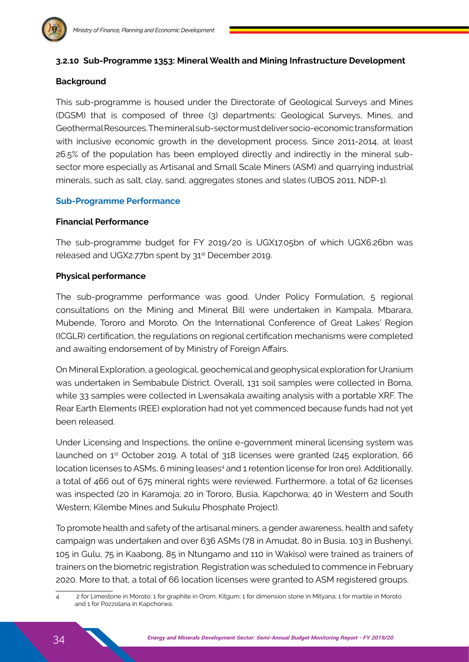### **3.2.10 Sub-Programme 1353: Mineral Wealth and Mining Infrastructure Development**

### **Background**

This sub-programme is housed under the Directorate of Geological Surveys and Mines (DGSM) that is composed of three (3) departments: Geological Surveys, Mines, and Geothermal Resources. The mineral sub-sector must deliver socio-economic transformation with inclusive economic growth in the development process. Since 2011-2014, at least 26.5% of the population has been employed directly and indirectly in the mineral subsector more especially as Artisanal and Small Scale Miners (ASM) and quarrying industrial minerals, such as salt, clay, sand, aggregates stones and slates (UBOS 2011, NDP-1).

### **Sub-Programme Performance**

### **Financial Performance**

The sub-programme budget for FY 2019/20 is UGX17.05bn of which UGX6.26bn was released and UGX2.77bn spent by 31<sup>st</sup> December 2019.

### **Physical performance**

The sub-programme performance was good. Under Policy Formulation, 5 regional consultations on the Mining and Mineral Bill were undertaken in Kampala, Mbarara, Mubende, Tororo and Moroto. On the International Conference of Great Lakes' Region (ICGLR) certification, the regulations on regional certification mechanisms were completed and awaiting endorsement of by Ministry of Foreign Affairs.

On Mineral Exploration, a geological, geochemical and geophysical exploration for Uranium was undertaken in Sembabule District. Overall, 131 soil samples were collected in Boma, while 33 samples were collected in Lwensakala awaiting analysis with a portable XRF. The Rear Earth Elements (REE) exploration had not yet commenced because funds had not yet been released.

Under Licensing and Inspections, the online e-government mineral licensing system was launched on 1st October 2019. A total of 318 licenses were granted (245 exploration, 66 location licenses to ASMs, 6 mining leases<sup>4</sup> and 1 retention license for Iron ore). Additionally, a total of 466 out of 675 mineral rights were reviewed. Furthermore, a total of 62 licenses was inspected (20 in Karamoja; 20 in Tororo, Busia, Kapchorwa; 40 in Western and South Western; Kilembe Mines and Sukulu Phosphate Project).

To promote health and safety of the artisanal miners, a gender awareness, health and safety campaign was undertaken and over 636 ASMs (78 in Amudat, 80 in Busia, 103 in Bushenyi, 105 in Gulu, 75 in Kaabong, 85 in Ntungamo and 110 in Wakiso) were trained as trainers of trainers on the biometric registration. Registration was scheduled to commence in February 2020. More to that, a total of 66 location licenses were granted to ASM registered groups.

<sup>4 2</sup> for Limestone in Moroto; 1 for graphite in Orom, Kitgum; 1 for dimension stone in Mityana; 1 for marble in Moroto and 1 for Pozzolana in Kapchorwa.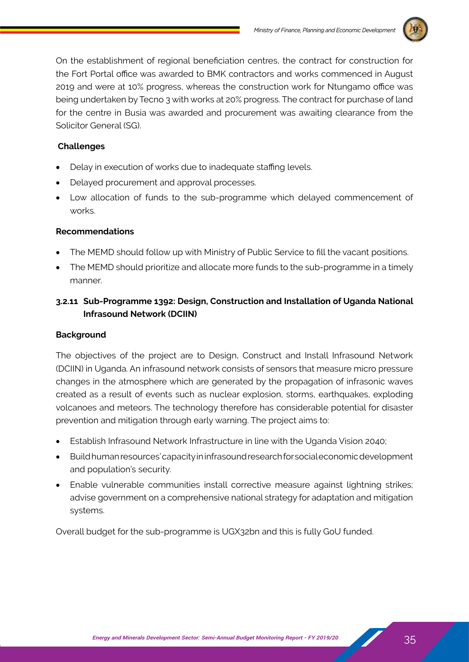

On the establishment of regional beneficiation centres, the contract for construction for the Fort Portal office was awarded to BMK contractors and works commenced in August 2019 and were at 10% progress, whereas the construction work for Ntungamo office was being undertaken by Tecno 3 with works at 20% progress. The contract for purchase of land for the centre in Busia was awarded and procurement was awaiting clearance from the Solicitor General (SG).

### **Challenges**

- Delay in execution of works due to inadequate staffing levels.
- Delayed procurement and approval processes.
- Low allocation of funds to the sub-programme which delayed commencement of works.

### **Recommendations**

- The MEMD should follow up with Ministry of Public Service to fill the vacant positions.
- The MEMD should prioritize and allocate more funds to the sub-programme in a timely manner.

### **3.2.11 Sub-Programme 1392: Design, Construction and Installation of Uganda National Infrasound Network (DCIIN)**

### **Background**

The objectives of the project are to Design, Construct and Install Infrasound Network (DCIIN) in Uganda. An infrasound network consists of sensors that measure micro pressure changes in the atmosphere which are generated by the propagation of infrasonic waves created as a result of events such as nuclear explosion, storms, earthquakes, exploding volcanoes and meteors. The technology therefore has considerable potential for disaster prevention and mitigation through early warning. The project aims to:

- Establish Infrasound Network Infrastructure in line with the Uganda Vision 2040;
- • Build human resources' capacity in infrasound research for social economic development and population's security.
- Enable vulnerable communities install corrective measure against lightning strikes; advise government on a comprehensive national strategy for adaptation and mitigation systems.

Overall budget for the sub-programme is UGX32bn and this is fully GoU funded.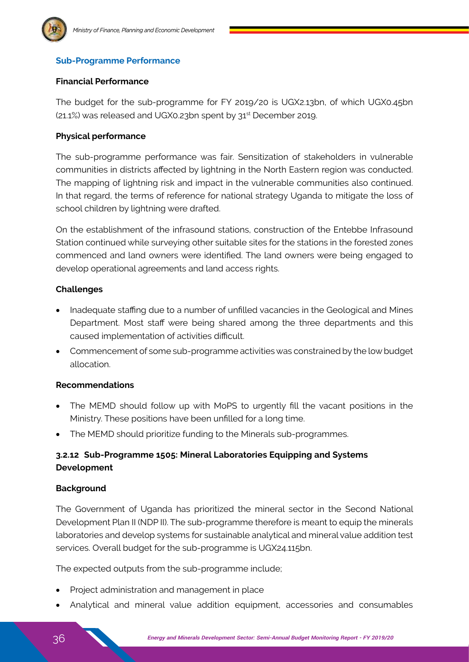

### **Financial Performance**

The budget for the sub-programme for FY 2019/20 is UGX2.13bn, of which UGX0.45bn (21.1%) was released and UGX0.23bn spent by 31<sup>st</sup> December 2019.

### **Physical performance**

The sub-programme performance was fair. Sensitization of stakeholders in vulnerable communities in districts affected by lightning in the North Eastern region was conducted. The mapping of lightning risk and impact in the vulnerable communities also continued. In that regard, the terms of reference for national strategy Uganda to mitigate the loss of school children by lightning were drafted.

On the establishment of the infrasound stations, construction of the Entebbe Infrasound Station continued while surveying other suitable sites for the stations in the forested zones commenced and land owners were identified. The land owners were being engaged to develop operational agreements and land access rights.

### **Challenges**

- Inadequate staffing due to a number of unfilled vacancies in the Geological and Mines Department. Most staff were being shared among the three departments and this caused implementation of activities difficult.
- Commencement of some sub-programme activities was constrained by the low budget allocation.

### **Recommendations**

- The MEMD should follow up with MoPS to urgently fill the vacant positions in the Ministry. These positions have been unfilled for a long time.
- The MEMD should prioritize funding to the Minerals sub-programmes.

### **3.2.12 Sub-Programme 1505: Mineral Laboratories Equipping and Systems Development**

#### **Background**

The Government of Uganda has prioritized the mineral sector in the Second National Development Plan II (NDP II). The sub-programme therefore is meant to equip the minerals laboratories and develop systems for sustainable analytical and mineral value addition test services. Overall budget for the sub-programme is UGX24.115bn.

The expected outputs from the sub-programme include;

- Project administration and management in place
- Analytical and mineral value addition equipment, accessories and consumables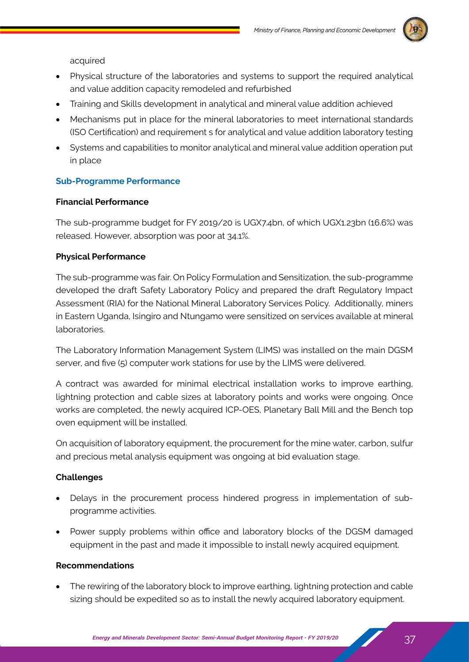

acquired

- Physical structure of the laboratories and systems to support the required analytical and value addition capacity remodeled and refurbished
- Training and Skills development in analytical and mineral value addition achieved
- Mechanisms put in place for the mineral laboratories to meet international standards (ISO Certification) and requirement s for analytical and value addition laboratory testing
- • Systems and capabilities to monitor analytical and mineral value addition operation put in place

### **Sub-Programme Performance**

### **Financial Performance**

The sub-programme budget for FY 2019/20 is UGX7.4bn, of which UGX1.23bn (16.6%) was released. However, absorption was poor at 34.1%.

### **Physical Performance**

The sub-programme was fair. On Policy Formulation and Sensitization, the sub-programme developed the draft Safety Laboratory Policy and prepared the draft Regulatory Impact Assessment (RIA) for the National Mineral Laboratory Services Policy. Additionally, miners in Eastern Uganda, Isingiro and Ntungamo were sensitized on services available at mineral **laboratories** 

The Laboratory Information Management System (LIMS) was installed on the main DGSM server, and five (5) computer work stations for use by the LIMS were delivered.

A contract was awarded for minimal electrical installation works to improve earthing, lightning protection and cable sizes at laboratory points and works were ongoing. Once works are completed, the newly acquired ICP-OES, Planetary Ball Mill and the Bench top oven equipment will be installed.

On acquisition of laboratory equipment, the procurement for the mine water, carbon, sulfur and precious metal analysis equipment was ongoing at bid evaluation stage.

### **Challenges**

- Delays in the procurement process hindered progress in implementation of subprogramme activities.
- Power supply problems within office and laboratory blocks of the DGSM damaged equipment in the past and made it impossible to install newly acquired equipment.

### **Recommendations**

The rewiring of the laboratory block to improve earthing, lightning protection and cable sizing should be expedited so as to install the newly acquired laboratory equipment.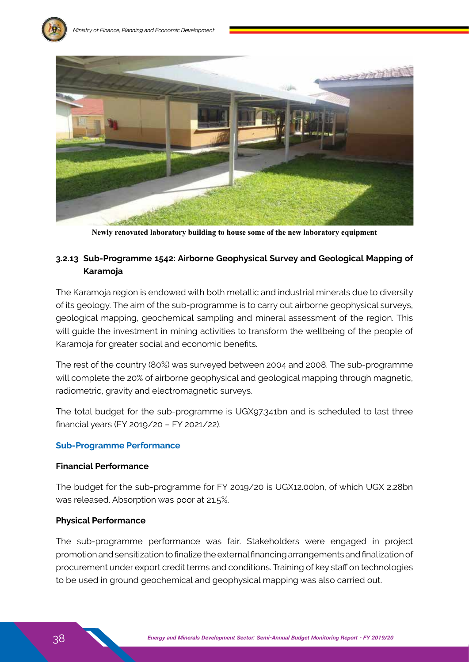



**Newly renovated laboratory building to house some of the new laboratory equipment**

### **3.2.13 Sub-Programme 1542: Airborne Geophysical Survey and Geological Mapping of Karamoja**

The Karamoja region is endowed with both metallic and industrial minerals due to diversity of its geology. The aim of the sub-programme is to carry out airborne geophysical surveys, geological mapping, geochemical sampling and mineral assessment of the region. This will guide the investment in mining activities to transform the wellbeing of the people of Karamoja for greater social and economic benefits.

The rest of the country (80%) was surveyed between 2004 and 2008. The sub-programme will complete the 20% of airborne geophysical and geological mapping through magnetic, radiometric, gravity and electromagnetic surveys.

The total budget for the sub-programme is UGX97.341bn and is scheduled to last three financial years (FY 2019/20 – FY 2021/22).

#### **Sub-Programme Performance**

#### **Financial Performance**

The budget for the sub-programme for FY 2019/20 is UGX12.00bn, of which UGX 2.28bn was released. Absorption was poor at 21.5%.

#### **Physical Performance**

The sub-programme performance was fair. Stakeholders were engaged in project promotion and sensitization to finalize the external financing arrangements and finalization of procurement under export credit terms and conditions. Training of key staff on technologies to be used in ground geochemical and geophysical mapping was also carried out.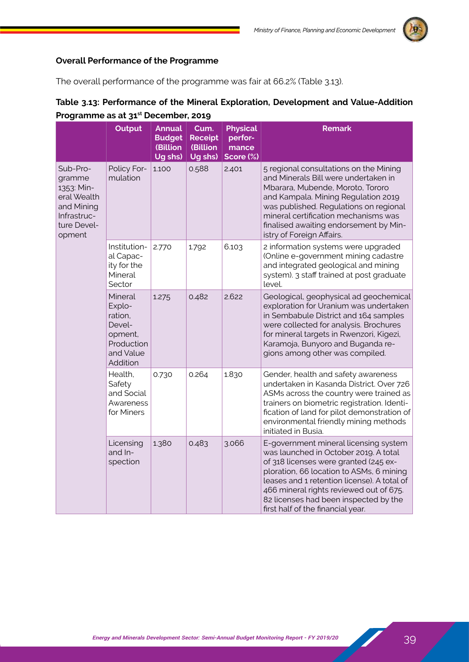### **Overall Performance of the Programme**

The overall performance of the programme was fair at 66.2% (Table 3.13).

|                                                                                                       | <b>Output</b>                                                                            | <b>Annual</b><br><b>Budget</b><br>(Billion<br>Ug shs) | Cum.<br><b>Receipt</b><br>(Billion<br>Ug shs) | <b>Physical</b><br>perfor-<br>mance<br>Score (%) | <b>Remark</b>                                                                                                                                                                                                                                                                                                                               |
|-------------------------------------------------------------------------------------------------------|------------------------------------------------------------------------------------------|-------------------------------------------------------|-----------------------------------------------|--------------------------------------------------|---------------------------------------------------------------------------------------------------------------------------------------------------------------------------------------------------------------------------------------------------------------------------------------------------------------------------------------------|
| Sub-Pro-<br>gramme<br>1353: Min-<br>eral Wealth<br>and Mining<br>Infrastruc-<br>ture Devel-<br>opment | Policy For-<br>mulation                                                                  | 1.100                                                 | 0.588                                         | 2.401                                            | 5 regional consultations on the Mining<br>and Minerals Bill were undertaken in<br>Mbarara, Mubende, Moroto, Tororo<br>and Kampala. Mining Regulation 2019<br>was published. Regulations on regional<br>mineral certification mechanisms was<br>finalised awaiting endorsement by Min-<br>istry of Foreign Affairs.                          |
|                                                                                                       | Institution-<br>al Capac-<br>ity for the<br>Mineral<br>Sector                            | 2.770                                                 | 1.792                                         | 6.103                                            | 2 information systems were upgraded<br>(Online e-government mining cadastre<br>and integrated geological and mining<br>system). 3 staff trained at post graduate<br>level.                                                                                                                                                                  |
|                                                                                                       | Mineral<br>Explo-<br>ration,<br>Devel-<br>opment,<br>Production<br>and Value<br>Addition | 1.275                                                 | 0.482                                         | 2.622                                            | Geological, geophysical ad geochemical<br>exploration for Uranium was undertaken<br>in Sembabule District and 164 samples<br>were collected for analysis. Brochures<br>for mineral targets in Rwenzori, Kigezi,<br>Karamoja, Bunyoro and Buganda re-<br>gions among other was compiled.                                                     |
|                                                                                                       | Health,<br>Safety<br>and Social<br>Awareness<br>for Miners                               | 0.730                                                 | 0.264                                         | 1.830                                            | Gender, health and safety awareness<br>undertaken in Kasanda District. Over 726<br>ASMs across the country were trained as<br>trainers on biometric registration. Identi-<br>fication of land for pilot demonstration of<br>environmental friendly mining methods<br>initiated in Busia.                                                    |
|                                                                                                       | Licensing<br>and In-<br>spection                                                         | 1.380                                                 | 0.483                                         | 3.066                                            | E-government mineral licensing system<br>was launched in October 2019. A total<br>of 318 licenses were granted (245 ex-<br>ploration, 66 location to ASMs, 6 mining<br>leases and 1 retention license). A total of<br>466 mineral rights reviewed out of 675.<br>82 licenses had been inspected by the<br>first half of the financial year. |

### **Table 3.13: Performance of the Mineral Exploration, Development and Value-Addition Programme as at 31st December, 2019**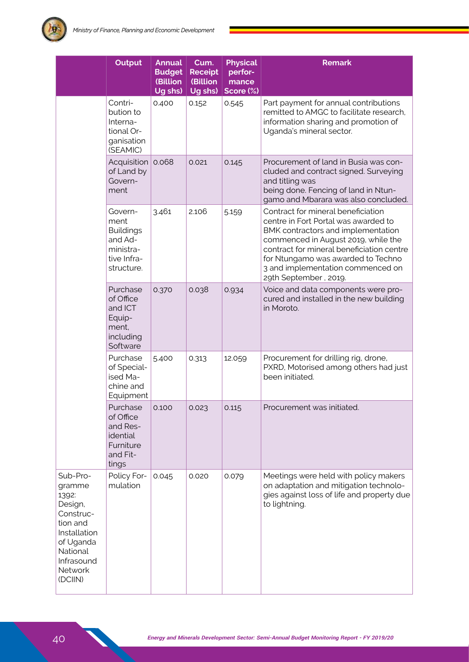|                                                                                                                                              | Output                                                                                   | <b>Annual</b><br><b>Budget</b><br>(Billion<br>Ug shs) | Cum.<br><b>Receipt</b><br>(Billion<br>Ug shs) | <b>Physical</b><br>perfor-<br>mance<br>Score (%) | <b>Remark</b>                                                                                                                                                                                                                                                                                            |
|----------------------------------------------------------------------------------------------------------------------------------------------|------------------------------------------------------------------------------------------|-------------------------------------------------------|-----------------------------------------------|--------------------------------------------------|----------------------------------------------------------------------------------------------------------------------------------------------------------------------------------------------------------------------------------------------------------------------------------------------------------|
|                                                                                                                                              | Contri-<br>bution to<br>Interna-<br>tional Or-<br>ganisation<br>(SEAMIC)                 | 0.400                                                 | 0.152                                         | 0.545                                            | Part payment for annual contributions<br>remitted to AMGC to facilitate research,<br>information sharing and promotion of<br>Uganda's mineral sector.                                                                                                                                                    |
|                                                                                                                                              | Acquisition<br>of Land by<br>Govern-<br>ment                                             | 0.068                                                 | 0.021                                         | 0.145                                            | Procurement of land in Busia was con-<br>cluded and contract signed. Surveying<br>and titling was<br>being done. Fencing of land in Ntun-<br>gamo and Mbarara was also concluded.                                                                                                                        |
|                                                                                                                                              | Govern-<br>ment<br><b>Buildings</b><br>and Ad-<br>ministra-<br>tive Infra-<br>structure. | 3.461                                                 | 2.106                                         | 5.159                                            | Contract for mineral beneficiation<br>centre in Fort Portal was awarded to<br>BMK contractors and implementation<br>commenced in August 2019, while the<br>contract for mineral beneficiation centre<br>for Ntungamo was awarded to Techno<br>3 and implementation commenced on<br>29th September, 2019. |
|                                                                                                                                              | Purchase<br>of Office<br>and ICT<br>Equip-<br>ment,<br>including<br>Software             | 0.370                                                 | 0.038                                         | 0.934                                            | Voice and data components were pro-<br>cured and installed in the new building<br>in Moroto.                                                                                                                                                                                                             |
|                                                                                                                                              | Purchase<br>of Special-<br>ised Ma-<br>chine and<br>Equipment                            | 5.400                                                 | 0.313                                         | 12.059                                           | Procurement for drilling rig, drone,<br>PXRD, Motorised among others had just<br>been initiated.                                                                                                                                                                                                         |
|                                                                                                                                              | Purchase<br>of Office<br>and Res-<br>idential<br>Furniture<br>and Fit-<br>tings          | 0.100                                                 | 0.023                                         | 0.115                                            | Procurement was initiated.                                                                                                                                                                                                                                                                               |
| Sub-Pro-<br>gramme<br>1392:<br>Design,<br>Construc-<br>tion and<br>Installation<br>of Uganda<br>National<br>Infrasound<br>Network<br>(DCIIN) | Policy For-<br>mulation                                                                  | 0.045                                                 | 0.020                                         | 0.079                                            | Meetings were held with policy makers<br>on adaptation and mitigation technolo-<br>gies against loss of life and property due<br>to lightning.                                                                                                                                                           |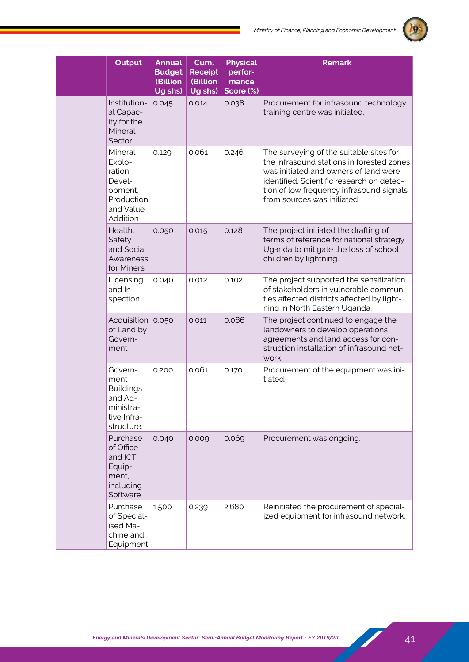

| <b>Output</b>                                                                            | <b>Annual</b><br><b>Budget</b><br>(Billion<br>Ug shs) | Cum.<br><b>Receipt</b><br>(Billion<br>Ug shs) | <b>Physical</b><br>perfor-<br>mance<br>Score (%) | <b>Remark</b>                                                                                                                                                                                                                                        |
|------------------------------------------------------------------------------------------|-------------------------------------------------------|-----------------------------------------------|--------------------------------------------------|------------------------------------------------------------------------------------------------------------------------------------------------------------------------------------------------------------------------------------------------------|
| Institution-<br>al Capac-<br>ity for the<br>Mineral<br>Sector                            | 0.045                                                 | 0.014                                         | 0.038                                            | Procurement for infrasound technology<br>training centre was initiated.                                                                                                                                                                              |
| Mineral<br>Explo-<br>ration,<br>Devel-<br>opment,<br>Production<br>and Value<br>Addition | 0.129                                                 | 0.061                                         | 0.246                                            | The surveying of the suitable sites for<br>the infrasound stations in forested zones<br>was initiated and owners of land were<br>identified. Scientific research on detec-<br>tion of low frequency infrasound signals<br>from sources was initiated |
| Health,<br>Safety<br>and Social<br>Awareness<br>for Miners                               | 0.050                                                 | 0.015                                         | 0.128                                            | The project initiated the drafting of<br>terms of reference for national strategy<br>Uganda to mitigate the loss of school<br>children by lightning.                                                                                                 |
| Licensing<br>and In-<br>spection                                                         | 0.040                                                 | 0.012                                         | 0.102                                            | The project supported the sensitization<br>of stakeholders in vulnerable communi-<br>ties affected districts affected by light-<br>ning in North Eastern Uganda.                                                                                     |
| Acquisition<br>of Land by<br>Govern-<br>ment                                             | 0.050                                                 | 0.011                                         | 0.086                                            | The project continued to engage the<br>landowners to develop operations<br>agreements and land access for con-<br>struction installation of infrasound net-<br>work.                                                                                 |
| Govern-<br>ment<br><b>Buildings</b><br>and Ad-<br>ministra-<br>tive Infra-<br>structure. | 0.200                                                 | 0.061                                         | 0.170                                            | Procurement of the equipment was ini-<br>tiated.                                                                                                                                                                                                     |
| Purchase<br>of Office<br>and ICT<br>Equip-<br>ment,<br>including<br>Software             | 0.040                                                 | 0.009                                         | 0.069                                            | Procurement was ongoing.                                                                                                                                                                                                                             |
| Purchase<br>of Special-<br>ised Ma-<br>chine and<br>Equipment                            | 1.500                                                 | 0.239                                         | 2.680                                            | Reinitiated the procurement of special-<br>ized equipment for infrasound network.                                                                                                                                                                    |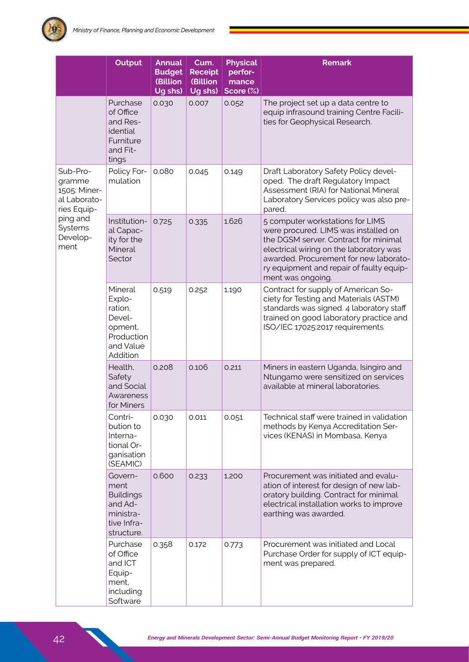

|                                                                   | Output                                                                                   | <b>Annual</b><br><b>Budget</b><br>(Billion<br>Ug shs) | Cum.<br><b>Receipt</b><br>(Billion<br>Ug shs) | <b>Physical</b><br>perfor-<br>mance<br>Score (%) | <b>Remark</b>                                                                                                                                                                                                                                                           |
|-------------------------------------------------------------------|------------------------------------------------------------------------------------------|-------------------------------------------------------|-----------------------------------------------|--------------------------------------------------|-------------------------------------------------------------------------------------------------------------------------------------------------------------------------------------------------------------------------------------------------------------------------|
|                                                                   | Purchase<br>of Office<br>and Res-<br>idential<br>Furniture<br>and Fit-<br>tings          | 0.030                                                 | 0.007                                         | 0.052                                            | The project set up a data centre to<br>equip infrasound training Centre Facili-<br>ties for Geophysical Research.                                                                                                                                                       |
| Sub-Pro-<br>gramme<br>1505: Miner-<br>al Laborato-<br>ries Equip- | Policy For-<br>mulation                                                                  | 0.080                                                 | 0.045                                         | 0.149                                            | Draft Laboratory Safety Policy devel-<br>oped. The draft Regulatory Impact<br>Assessment (RIA) for National Mineral<br>Laboratory Services policy was also pre-<br>pared.                                                                                               |
| ping and<br>Systems<br>Develop-<br>ment                           | Institution-<br>al Capac-<br>ity for the<br>Mineral<br>Sector                            | 0.725                                                 | 0.335                                         | 1.626                                            | 5 computer workstations for LIMS<br>were procured. LIMS was installed on<br>the DGSM server. Contract for minimal<br>electrical wiring on the laboratory was<br>awarded. Procurement for new laborato-<br>ry equipment and repair of faulty equip-<br>ment was ongoing. |
|                                                                   | Mineral<br>Explo-<br>ration,<br>Devel-<br>opment,<br>Production<br>and Value<br>Addition | 0.519                                                 | 0.252                                         | 1.190                                            | Contract for supply of American So-<br>ciety for Testing and Materials (ASTM)<br>standards was signed. 4 laboratory staff<br>trained on good laboratory practice and<br>ISO/IEC 17025:2017 requirements                                                                 |
|                                                                   | Health,<br>Safety<br>and Social<br>Awareness<br>for Miners                               | 0.208                                                 | 0.106                                         | 0.211                                            | Miners in eastern Uganda, Isingiro and<br>Ntungamo were sensitized on services<br>available at mineral laboratories.                                                                                                                                                    |
|                                                                   | Contri-<br>bution to<br>Interna-<br>tional Or-<br>ganisation<br>(SEAMIC)                 | 0.030                                                 | 0.011                                         | 0.051                                            | Technical staff were trained in validation<br>methods by Kenya Accreditation Ser-<br>vices (KENAS) in Mombasa, Kenya                                                                                                                                                    |
|                                                                   | Govern-<br>ment<br><b>Buildings</b><br>and Ad-<br>ministra-<br>tive Infra-<br>structure. | 0.600                                                 | 0.233                                         | 1.200                                            | Procurement was initiated and evalu-<br>ation of interest for design of new lab-<br>oratory building. Contract for minimal<br>electrical installation works to improve<br>earthing was awarded.                                                                         |
|                                                                   | Purchase<br>of Office<br>and ICT<br>Equip-<br>ment,<br>including<br>Software             | 0.358                                                 | 0.172                                         | 0.773                                            | Procurement was initiated and Local<br>Purchase Order for supply of ICT equip-<br>ment was prepared.                                                                                                                                                                    |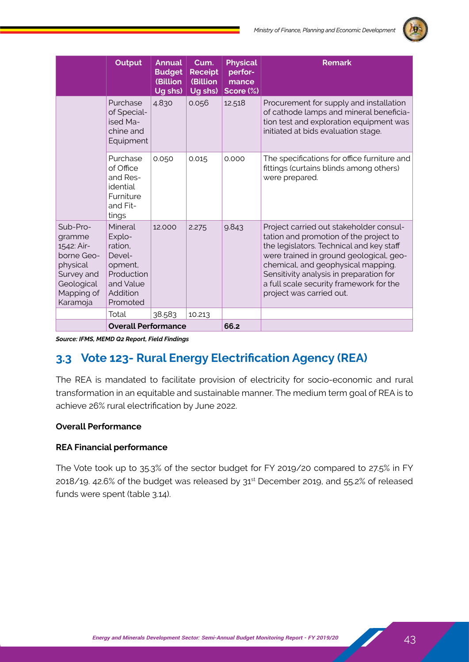

|                                                                                                                  | Output                                                                                               | <b>Annual</b><br><b>Budget</b><br><b>(Billion</b><br>Ug shs) | Cum.<br><b>Receipt</b><br><b>(Billion)</b><br>Ug shs) | <b>Physical</b><br>perfor-<br>mance<br>Score (%) | <b>Remark</b>                                                                                                                                                                                                                                                                                                                    |
|------------------------------------------------------------------------------------------------------------------|------------------------------------------------------------------------------------------------------|--------------------------------------------------------------|-------------------------------------------------------|--------------------------------------------------|----------------------------------------------------------------------------------------------------------------------------------------------------------------------------------------------------------------------------------------------------------------------------------------------------------------------------------|
|                                                                                                                  | Purchase<br>of Special-<br>ised Ma-<br>chine and<br>Equipment                                        | 4.830                                                        | 0.056                                                 | 12.518                                           | Procurement for supply and installation<br>of cathode lamps and mineral beneficia-<br>tion test and exploration equipment was<br>initiated at bids evaluation stage.                                                                                                                                                             |
|                                                                                                                  | Purchase<br>of Office<br>and Res-<br>idential<br>Furniture<br>and Fit-<br>tings                      | 0.050                                                        | 0.015                                                 | 0.000                                            | The specifications for office furniture and<br>fittings (curtains blinds among others)<br>were prepared.                                                                                                                                                                                                                         |
| Sub-Pro-<br>gramme<br>1542: Air-<br>borne Geo-<br>physical<br>Survey and<br>Geological<br>Mapping of<br>Karamoja | Mineral<br>Explo-<br>ration,<br>Devel-<br>opment,<br>Production<br>and Value<br>Addition<br>Promoted | 12.000                                                       | 2.275                                                 | 9.843                                            | Project carried out stakeholder consul-<br>tation and promotion of the project to<br>the legislators. Technical and key staff<br>were trained in ground geological, geo-<br>chemical, and geophysical mapping.<br>Sensitivity analysis in preparation for<br>a full scale security framework for the<br>project was carried out. |
|                                                                                                                  | Total                                                                                                | 38.583                                                       | 10.213                                                |                                                  |                                                                                                                                                                                                                                                                                                                                  |
|                                                                                                                  | <b>Overall Performance</b>                                                                           |                                                              |                                                       | 66.2                                             |                                                                                                                                                                                                                                                                                                                                  |

*Source: IFMS, MEMD Q2 Report, Field Findings*

## **3.3 Vote 123- Rural Energy Electrification Agency (REA)**

The REA is mandated to facilitate provision of electricity for socio-economic and rural transformation in an equitable and sustainable manner. The medium term goal of REA is to achieve 26% rural electrification by June 2022.

### **Overall Performance**

### **REA Financial performance**

The Vote took up to 35.3% of the sector budget for FY 2019/20 compared to 27.5% in FY 2018/19. 42.6% of the budget was released by 31st December 2019, and 55.2% of released funds were spent (table 3.14).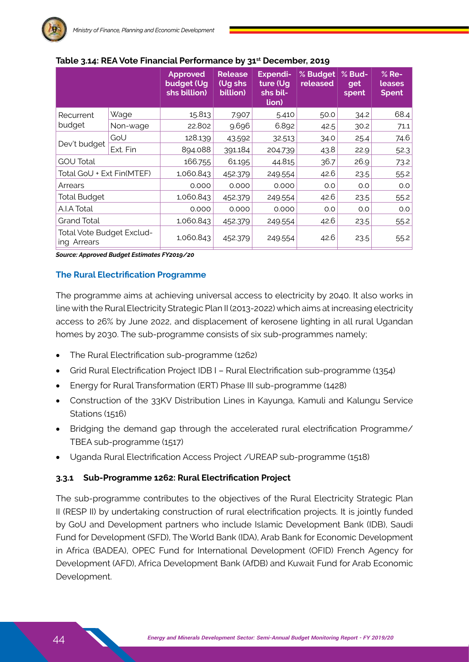|                                          |          | <b>Approved</b><br>budget (Ug<br>shs billion) | <b>Release</b><br>(Ug shs<br>billion) | <b>Expendi-</b><br>ture (Ug<br>shs bil-<br>lion) | % Budget<br>released | % Bud-<br>get<br>spent | $%$ Re-<br>leases<br><b>Spent</b> |
|------------------------------------------|----------|-----------------------------------------------|---------------------------------------|--------------------------------------------------|----------------------|------------------------|-----------------------------------|
| Recurrent                                | Wage     | 15.813                                        | 7.907                                 | 5.410                                            | 50.0                 | 34.2                   | 68.4                              |
| budget                                   | Non-wage | 22.802                                        | 9.696                                 | 6.892                                            | 42.5                 | 30.2                   | 71.1                              |
|                                          | GoU      | 128.139                                       | 43.592                                | 32.513                                           | 34.0                 | 25.4                   | 74.6                              |
| Dev't budget                             | Ext. Fin | 894.088                                       | 391.184                               | 204.739                                          | 43.8                 | 22.9                   | 52.3                              |
| <b>GOU Total</b>                         |          | 166.755                                       | 61.195                                | 44.815                                           | 36.7                 | 26.9                   | 73.2                              |
| Total GoU + Ext Fin(MTEF)                |          | 1,060.843                                     | 452.379                               | 249.554                                          | 42.6                 | 23.5                   | 55.2                              |
| Arrears                                  |          | 0.000                                         | 0.000                                 | 0.000                                            | O.O                  | O.O                    | O.O                               |
| <b>Total Budget</b>                      |          | 1,060.843                                     | 452.379                               | 249.554                                          | 42.6                 | 23.5                   | 55.2                              |
| A.I.A Total                              |          | 0.000                                         | 0.000                                 | 0.000                                            | O.O                  | O.O                    | O.O                               |
| <b>Grand Total</b>                       |          | 1,060.843                                     | 452.379                               | 249.554                                          | 42.6                 | 23.5                   | 55.2                              |
| Total Vote Budget Exclud-<br>ing Arrears |          | 1,060.843                                     | 452.379                               | 249.554                                          | 42.6                 | 23.5                   | 55.2                              |

### **Table 3.14: REA Vote Financial Performance by 31st December, 2019**

*Source: Approved Budget Estimates FY2019/20*

### **The Rural Electrification Programme**

The programme aims at achieving universal access to electricity by 2040. It also works in line with the Rural Electricity Strategic Plan II (2013-2022) which aims at increasing electricity access to 26% by June 2022, and displacement of kerosene lighting in all rural Ugandan homes by 2030. The sub-programme consists of six sub-programmes namely;

- The Rural Electrification sub-programme (1262)
- Grid Rural Electrification Project IDB I Rural Electrification sub-programme (1354)
- Energy for Rural Transformation (ERT) Phase III sub-programme (1428)
- Construction of the 33KV Distribution Lines in Kayunga, Kamuli and Kalungu Service Stations (1516)
- Bridging the demand gap through the accelerated rural electrification Programme/ TBEA sub-programme (1517)
- Uganda Rural Electrification Access Project /UREAP sub-programme (1518)

### **3.3.1 Sub-Programme 1262: Rural Electrification Project**

The sub-programme contributes to the objectives of the Rural Electricity Strategic Plan II (RESP II) by undertaking construction of rural electrification projects. It is jointly funded by GoU and Development partners who include Islamic Development Bank (IDB), Saudi Fund for Development (SFD), The World Bank (IDA), Arab Bank for Economic Development in Africa (BADEA), OPEC Fund for International Development (OFID) French Agency for Development (AFD), Africa Development Bank (AfDB) and Kuwait Fund for Arab Economic Development.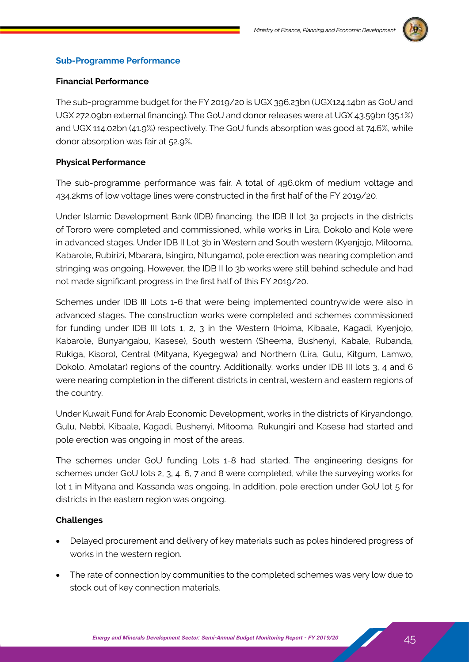

### **Financial Performance**

The sub-programme budget for the FY 2019/20 is UGX 396.23bn (UGX124.14bn as GoU and UGX 272.09bn external financing). The GoU and donor releases were at UGX 43.59bn (35.1%) and UGX 114.02bn (41.9%) respectively. The GoU funds absorption was good at 74.6%, while donor absorption was fair at 52.9%.

### **Physical Performance**

The sub-programme performance was fair. A total of 496.0km of medium voltage and 434.2kms of low voltage lines were constructed in the first half of the FY 2019/20.

Under Islamic Development Bank (IDB) financing, the IDB II lot 3a projects in the districts of Tororo were completed and commissioned, while works in Lira, Dokolo and Kole were in advanced stages. Under IDB II Lot 3b in Western and South western (Kyenjojo, Mitooma, Kabarole, Rubirizi, Mbarara, Isingiro, Ntungamo), pole erection was nearing completion and stringing was ongoing. However, the IDB II lo 3b works were still behind schedule and had not made significant progress in the first half of this FY 2019/20.

Schemes under IDB III Lots 1-6 that were being implemented countrywide were also in advanced stages. The construction works were completed and schemes commissioned for funding under IDB III lots 1, 2, 3 in the Western (Hoima, Kibaale, Kagadi, Kyenjojo, Kabarole, Bunyangabu, Kasese), South western (Sheema, Bushenyi, Kabale, Rubanda, Rukiga, Kisoro), Central (Mityana, Kyegegwa) and Northern (Lira, Gulu, Kitgum, Lamwo, Dokolo, Amolatar) regions of the country. Additionally, works under IDB III lots 3, 4 and 6 were nearing completion in the different districts in central, western and eastern regions of the country.

Under Kuwait Fund for Arab Economic Development, works in the districts of Kiryandongo, Gulu, Nebbi, Kibaale, Kagadi, Bushenyi, Mitooma, Rukungiri and Kasese had started and pole erection was ongoing in most of the areas.

The schemes under GoU funding Lots 1-8 had started. The engineering designs for schemes under GoU lots 2, 3, 4, 6, 7 and 8 were completed, while the surveying works for lot 1 in Mityana and Kassanda was ongoing. In addition, pole erection under GoU lot 5 for districts in the eastern region was ongoing.

### **Challenges**

- Delayed procurement and delivery of key materials such as poles hindered progress of works in the western region.
- The rate of connection by communities to the completed schemes was very low due to stock out of key connection materials.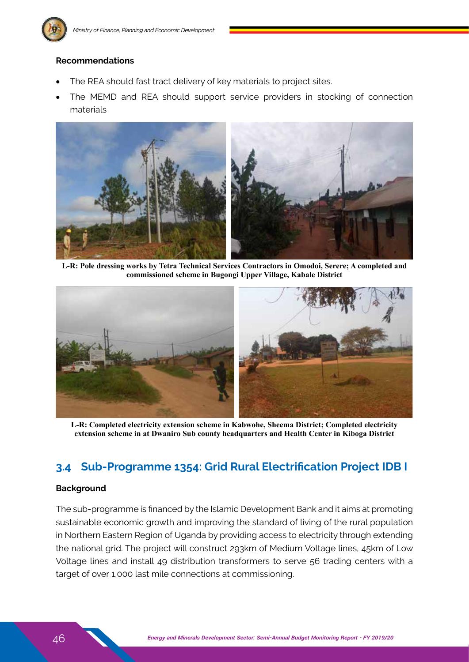

#### **Recommendations**

- The REA should fast tract delivery of key materials to project sites.
- The MEMD and REA should support service providers in stocking of connection materials



**L-R: Pole dressing works by Tetra Technical Services Contractors in Omodoi, Serere; A completed and commissioned scheme in Bugongi Upper Village, Kabale District**



**L-R: Completed electricity extension scheme in Kabwohe, Sheema District; Completed electricity extension scheme in at Dwaniro Sub county headquarters and Health Center in Kiboga District**

### **3.4 Sub-Programme 1354: Grid Rural Electrification Project IDB I**

#### **Background**

The sub-programme is financed by the Islamic Development Bank and it aims at promoting sustainable economic growth and improving the standard of living of the rural population in Northern Eastern Region of Uganda by providing access to electricity through extending the national grid. The project will construct 293km of Medium Voltage lines, 45km of Low Voltage lines and install 49 distribution transformers to serve 56 trading centers with a target of over 1,000 last mile connections at commissioning.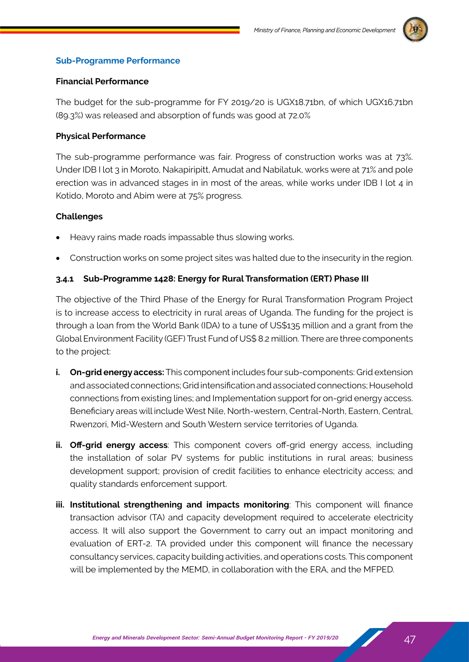

### **Financial Performance**

The budget for the sub-programme for FY 2019/20 is UGX18.71bn, of which UGX16.71bn (89.3%) was released and absorption of funds was good at 72.0%

### **Physical Performance**

The sub-programme performance was fair. Progress of construction works was at 73%. Under IDB I lot 3 in Moroto, Nakapiripitt, Amudat and Nabilatuk, works were at 71% and pole erection was in advanced stages in in most of the areas, while works under IDB I lot 4 in Kotido, Moroto and Abim were at 75% progress.

### **Challenges**

- Heavy rains made roads impassable thus slowing works.
- Construction works on some project sites was halted due to the insecurity in the region.

### **3.4.1 Sub-Programme 1428: Energy for Rural Transformation (ERT) Phase III**

The objective of the Third Phase of the Energy for Rural Transformation Program Project is to increase access to electricity in rural areas of Uganda. The funding for the project is through a loan from the World Bank (IDA) to a tune of US\$135 million and a grant from the Global Environment Facility (GEF) Trust Fund of US\$ 8.2 million. There are three components to the project:

- **i. On-grid energy access:** This component includes four sub-components: Grid extension and associated connections; Grid intensification and associated connections; Household connections from existing lines; and Implementation support for on-grid energy access. Beneficiary areas will include West Nile, North-western, Central-North, Eastern, Central, Rwenzori, Mid-Western and South Western service territories of Uganda.
- **ii. Off-grid energy access**: This component covers off-grid energy access, including the installation of solar PV systems for public institutions in rural areas; business development support; provision of credit facilities to enhance electricity access; and quality standards enforcement support.
- **iii. Institutional strengthening and impacts monitoring**: This component will finance transaction advisor (TA) and capacity development required to accelerate electricity access. It will also support the Government to carry out an impact monitoring and evaluation of ERT-2. TA provided under this component will finance the necessary consultancy services, capacity building activities, and operations costs. This component will be implemented by the MEMD, in collaboration with the ERA, and the MFPED.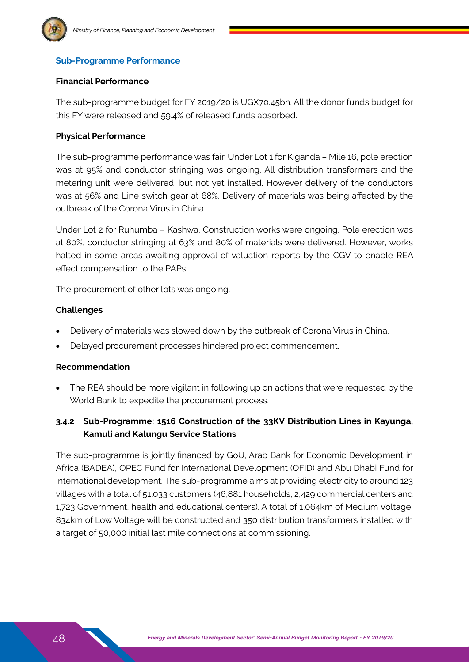

### **Financial Performance**

The sub-programme budget for FY 2019/20 is UGX70.45bn. All the donor funds budget for this FY were released and 59.4% of released funds absorbed.

### **Physical Performance**

The sub-programme performance was fair. Under Lot 1 for Kiganda – Mile 16, pole erection was at 95% and conductor stringing was ongoing. All distribution transformers and the metering unit were delivered, but not yet installed. However delivery of the conductors was at 56% and Line switch gear at 68%. Delivery of materials was being affected by the outbreak of the Corona Virus in China.

Under Lot 2 for Ruhumba – Kashwa, Construction works were ongoing. Pole erection was at 80%, conductor stringing at 63% and 80% of materials were delivered. However, works halted in some areas awaiting approval of valuation reports by the CGV to enable REA effect compensation to the PAPs.

The procurement of other lots was ongoing.

### **Challenges**

- Delivery of materials was slowed down by the outbreak of Corona Virus in China.
- Delayed procurement processes hindered project commencement.

#### **Recommendation**

The REA should be more vigilant in following up on actions that were requested by the World Bank to expedite the procurement process.

### **3.4.2 Sub-Programme: 1516 Construction of the 33KV Distribution Lines in Kayunga, Kamuli and Kalungu Service Stations**

The sub-programme is jointly financed by GoU, Arab Bank for Economic Development in Africa (BADEA), OPEC Fund for International Development (OFID) and Abu Dhabi Fund for International development. The sub-programme aims at providing electricity to around 123 villages with a total of 51,033 customers (46,881 households, 2,429 commercial centers and 1,723 Government, health and educational centers). A total of 1,064km of Medium Voltage, 834km of Low Voltage will be constructed and 350 distribution transformers installed with a target of 50,000 initial last mile connections at commissioning.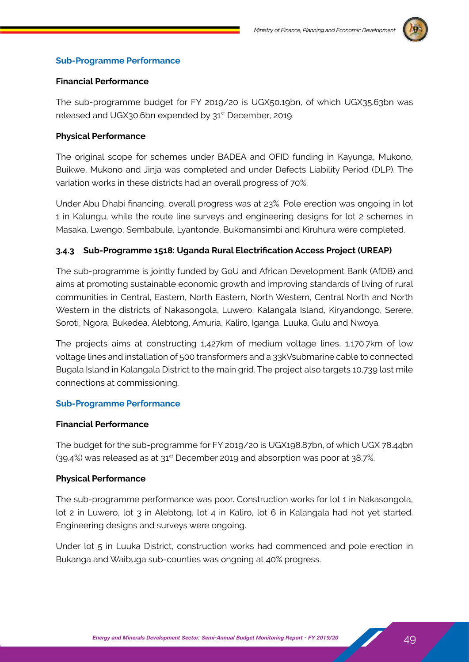

### **Financial Performance**

The sub-programme budget for FY 2019/20 is UGX50.19bn, of which UGX35.63bn was released and UGX30.6bn expended by 31<sup>st</sup> December, 2019.

### **Physical Performance**

The original scope for schemes under BADEA and OFID funding in Kayunga, Mukono, Buikwe, Mukono and Jinja was completed and under Defects Liability Period (DLP). The variation works in these districts had an overall progress of 70%.

Under Abu Dhabi financing, overall progress was at 23%. Pole erection was ongoing in lot 1 in Kalungu, while the route line surveys and engineering designs for lot 2 schemes in Masaka, Lwengo, Sembabule, Lyantonde, Bukomansimbi and Kiruhura were completed.

### **3.4.3 Sub-Programme 1518: Uganda Rural Electrification Access Project (UREAP)**

The sub-programme is jointly funded by GoU and African Development Bank (AfDB) and aims at promoting sustainable economic growth and improving standards of living of rural communities in Central, Eastern, North Eastern, North Western, Central North and North Western in the districts of Nakasongola, Luwero, Kalangala Island, Kiryandongo, Serere, Soroti, Ngora, Bukedea, Alebtong, Amuria, Kaliro, Iganga, Luuka, Gulu and Nwoya.

The projects aims at constructing 1,427km of medium voltage lines, 1,170.7km of low voltage lines and installation of 500 transformers and a 33kVsubmarine cable to connected Bugala Island in Kalangala District to the main grid. The project also targets 10,739 last mile connections at commissioning.

#### **Sub-Programme Performance**

#### **Financial Performance**

The budget for the sub-programme for FY 2019/20 is UGX198.87bn, of which UGX 78.44bn (39.4%) was released as at 31<sup>st</sup> December 2019 and absorption was poor at 38.7%.

### **Physical Performance**

The sub-programme performance was poor. Construction works for lot 1 in Nakasongola, lot 2 in Luwero, lot 3 in Alebtong, lot 4 in Kaliro, lot 6 in Kalangala had not yet started. Engineering designs and surveys were ongoing.

Under lot 5 in Luuka District, construction works had commenced and pole erection in Bukanga and Waibuga sub-counties was ongoing at 40% progress.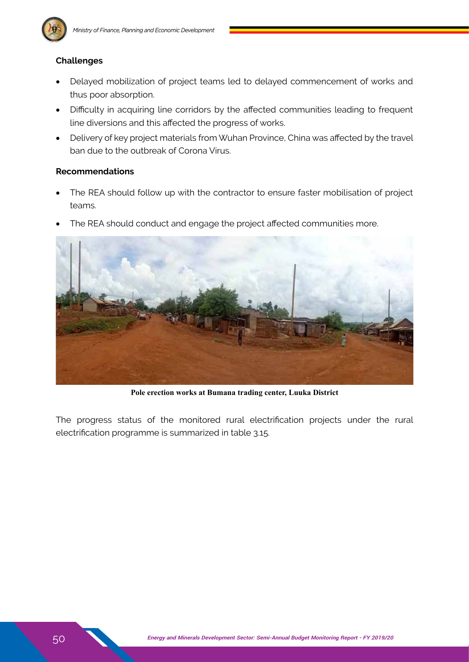

### **Challenges**

- Delayed mobilization of project teams led to delayed commencement of works and thus poor absorption.
- Difficulty in acquiring line corridors by the affected communities leading to frequent line diversions and this affected the progress of works.
- Delivery of key project materials from Wuhan Province, China was affected by the travel ban due to the outbreak of Corona Virus.

### **Recommendations**

- The REA should follow up with the contractor to ensure faster mobilisation of project teams.
- The REA should conduct and engage the project affected communities more.



**Pole erection works at Bumana trading center, Luuka District**

The progress status of the monitored rural electrification projects under the rural electrification programme is summarized in table 3.15.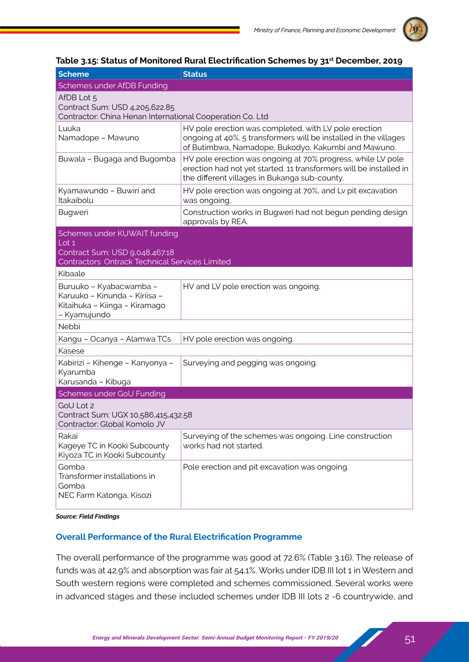

### **Table 3.15: Status of Monitored Rural Electrification Schemes by 31st December, 2019**

| <b>Scheme</b>                                                                                                              | <b>Status</b>                                                                                                                                                                      |
|----------------------------------------------------------------------------------------------------------------------------|------------------------------------------------------------------------------------------------------------------------------------------------------------------------------------|
| <b>Schemes under AfDB Funding</b>                                                                                          |                                                                                                                                                                                    |
| AfDB Lot 5<br>Contract Sum: USD 4,205,622.85<br>Contractor: China Henan International Cooperation Co. Ltd                  |                                                                                                                                                                                    |
| Luuka<br>Namadope - Mawuno                                                                                                 | HV pole erection was completed, with LV pole erection<br>ongoing at 40%. 5 transformers will be installed in the villages<br>of Butimbwa, Namadope, Bukodyo, Kakumbi and Mawuno.   |
| Buwala - Bugaga and Bugomba                                                                                                | HV pole erection was ongoing at 70% progress, while LV pole<br>erection had not yet started. 11 transformers will be installed in<br>the different villages in Bukanga sub-county. |
| Kyamawundo - Buwiri and<br>Itakaibolu                                                                                      | HV pole erection was ongoing at 70%, and Lv pit excavation<br>was ongoing.                                                                                                         |
| <b>Bugweri</b>                                                                                                             | Construction works in Bugweri had not begun pending design<br>approvals by REA.                                                                                                    |
| Schemes under KUWAIT funding<br>Lot 1<br>Contract Sum: USD 9,048,467.18<br>Contractors: Ontrack Technical Services Limited |                                                                                                                                                                                    |
| Kibaale                                                                                                                    |                                                                                                                                                                                    |
| Buruuko – Kyabacwamba –<br>Karuuko - Kinunda - Kiriisa -<br>Kitaihuka - Kiinga - Kiramago<br>– Kyamujundo                  | HV and LV pole erection was ongoing.                                                                                                                                               |
| Nebbi                                                                                                                      |                                                                                                                                                                                    |
| Kangu - Ocanya - Alamwa TCs                                                                                                | HV pole erection was ongoing.                                                                                                                                                      |
| Kasese                                                                                                                     |                                                                                                                                                                                    |
| Kabirizi - Kihenge - Kanyonya -<br>Kyarumba<br>Karusanda - Kibuga                                                          | Surveying and pegging was ongoing.                                                                                                                                                 |
| Schemes under GoU Funding                                                                                                  |                                                                                                                                                                                    |
| GoU Lot 2<br>Contract Sum: UGX 10,586,415,432.58<br>Contractor: Global Komolo JV                                           |                                                                                                                                                                                    |
| Rakai<br>Kageye TC in Kooki Subcounty<br>Kiyoza TC in Kooki Subcounty                                                      | Surveying of the schemes was ongoing. Line construction<br>works had not started.                                                                                                  |
| Gomba<br>Transformer installations in<br>Gomba<br>NEC Farm Katonga, Kisozi                                                 | Pole erection and pit excavation was ongoing.                                                                                                                                      |

*Source: Field Findings*

### **Overall Performance of the Rural Electrification Programme**

The overall performance of the programme was good at 72.6% (Table 3.16). The release of funds was at 42.9% and absorption was fair at 54.1%. Works under IDB III lot 1 in Western and South western regions were completed and schemes commissioned. Several works were in advanced stages and these included schemes under IDB III lots 2 -6 countrywide, and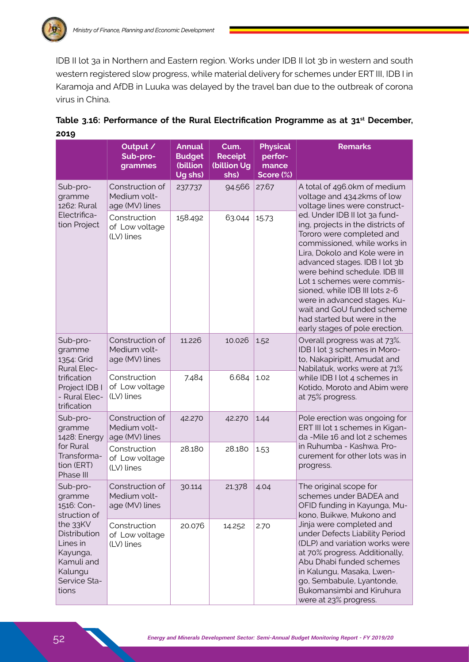

IDB II lot 3a in Northern and Eastern region. Works under IDB II lot 3b in western and south western registered slow progress, while material delivery for schemes under ERT III, IDB I in Karamoja and AfDB in Luuka was delayed by the travel ban due to the outbreak of corona virus in China.

|                                                                                                                                                        | Output /<br>Sub-pro-<br>grammes                   | <b>Annual</b><br><b>Budget</b><br>(billion<br>Ug shs) | Cum.<br><b>Receipt</b><br>(billion Ug<br>shs) | <b>Physical</b><br>perfor-<br>mance<br>Score (%) | <b>Remarks</b>                                                                                                                                                                                                                                                                                                                                                                                                                    |  |
|--------------------------------------------------------------------------------------------------------------------------------------------------------|---------------------------------------------------|-------------------------------------------------------|-----------------------------------------------|--------------------------------------------------|-----------------------------------------------------------------------------------------------------------------------------------------------------------------------------------------------------------------------------------------------------------------------------------------------------------------------------------------------------------------------------------------------------------------------------------|--|
| Sub-pro-<br>gramme<br>1262: Rural<br>Electrifica-<br>tion Project                                                                                      | Construction of<br>Medium volt-<br>age (MV) lines | 237.737                                               | 94.566                                        | 27.67                                            | A total of 496.0km of medium<br>voltage and 434.2kms of low<br>voltage lines were construct-                                                                                                                                                                                                                                                                                                                                      |  |
|                                                                                                                                                        | Construction<br>of Low voltage<br>(LV) lines      | 158.492                                               | 63.044                                        | 15.73                                            | ed. Under IDB II lot 3a fund-<br>ing, projects in the districts of<br>Tororo were completed and<br>commissioned, while works in<br>Lira, Dokolo and Kole were in<br>advanced stages. IDB I lot 3b<br>were behind schedule. IDB III<br>Lot 1 schemes were commis-<br>sioned, while IDB III lots 2-6<br>were in advanced stages. Ku-<br>wait and GoU funded scheme<br>had started but were in the<br>early stages of pole erection. |  |
| Sub-pro-<br>gramme<br>1354: Grid<br><b>Rural Elec-</b>                                                                                                 | Construction of<br>Medium volt-<br>age (MV) lines | 11.226                                                | 10.026                                        | 1.52                                             | Overall progress was at 73%.<br>IDB I lot 3 schemes in Moro-<br>to, Nakapiripitt, Amudat and<br>Nabilatuk, works were at 71%<br>while IDB I lot 4 schemes in<br>Kotido, Moroto and Abim were<br>at 75% progress.                                                                                                                                                                                                                  |  |
| trification<br>Project IDB I<br>- Rural Elec-<br>trification                                                                                           | Construction<br>of Low voltage<br>(LV) lines      | 7.484                                                 | 6.684                                         | 1.02                                             |                                                                                                                                                                                                                                                                                                                                                                                                                                   |  |
| Sub-pro-<br>gramme<br>1428: Energy<br>for Rural<br>Transforma-<br>tion (ERT)<br>Phase III                                                              | Construction of<br>Medium volt-<br>age (MV) lines | 42.270                                                | 42.270                                        | 1.44                                             | Pole erection was ongoing for<br>ERT III lot 1 schemes in Kigan-<br>da - Mile 16 and lot 2 schemes<br>in Ruhumba - Kashwa. Pro-<br>curement for other lots was in<br>progress.                                                                                                                                                                                                                                                    |  |
|                                                                                                                                                        | Construction<br>of Low voltage<br>(LV) lines      | 28.180                                                | 28.180                                        | 1.53                                             |                                                                                                                                                                                                                                                                                                                                                                                                                                   |  |
| Sub-pro-<br>gramme<br>1516: Con-<br>struction of<br>the 33KV<br>Distribution<br>Lines in<br>Kayunga,<br>Kamuli and<br>Kalungu<br>Service Sta-<br>tions | Construction of<br>Medium volt-<br>age (MV) lines | 30.114                                                | 21.378                                        | 4.04                                             | The original scope for<br>schemes under BADEA and<br>OFID funding in Kayunga, Mu-<br>kono, Buikwe, Mukono and<br>Jinja were completed and<br>under Defects Liability Period<br>(DLP) and variation works were<br>at 70% progress. Additionally,<br>Abu Dhabi funded schemes<br>in Kalungu, Masaka, Lwen-<br>go, Sembabule, Lyantonde,<br>Bukomansimbi and Kiruhura<br>were at 23% progress.                                       |  |
|                                                                                                                                                        | Construction<br>of Low voltage<br>(LV) lines      | 20.076                                                | 14.252                                        | 2.70                                             |                                                                                                                                                                                                                                                                                                                                                                                                                                   |  |

|      | Table 3.16: Performance of the Rural Electrification Programme as at 31 <sup>st</sup> December, |  |
|------|-------------------------------------------------------------------------------------------------|--|
| 2019 |                                                                                                 |  |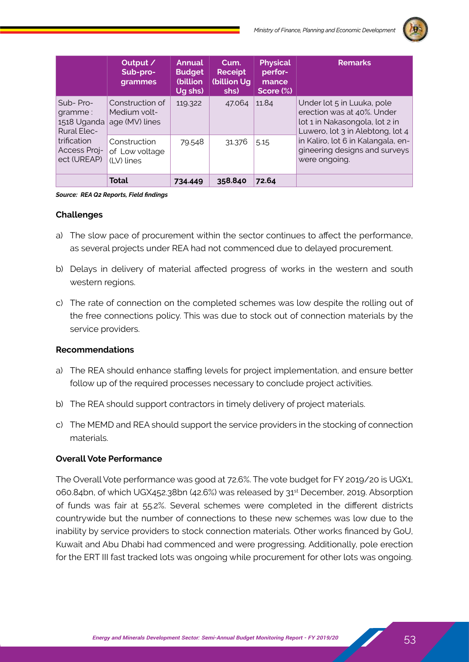

|                                                                                                        | Output /<br>Sub-pro-<br>grammes                   | <b>Annual</b><br><b>Budget</b><br>(billion<br>Ug shs) | Cum.<br>Receipt<br>(billion Ug<br>shs) | <b>Physical</b><br>perfor-<br>mance<br>Score (%) | <b>Remarks</b>                                                                                                                                                                                                         |
|--------------------------------------------------------------------------------------------------------|---------------------------------------------------|-------------------------------------------------------|----------------------------------------|--------------------------------------------------|------------------------------------------------------------------------------------------------------------------------------------------------------------------------------------------------------------------------|
| Sub-Pro-<br>gramme:<br>1518 Uganda<br><b>Rural Elec-</b><br>trification<br>Access Proj-<br>ect (UREAP) | Construction of<br>Medium volt-<br>age (MV) lines | 119.322                                               | 47.064                                 | 11.84                                            | Under lot 5 in Luuka, pole<br>erection was at 40%. Under<br>lot 1 in Nakasongola, lot 2 in<br>Luwero, lot 3 in Alebtong, lot 4<br>in Kaliro, lot 6 in Kalangala, en-<br>gineering designs and surveys<br>were ongoing. |
|                                                                                                        | Construction<br>of Low voltage<br>(LV) lines      | 79.548                                                | 31.376                                 | 5.15                                             |                                                                                                                                                                                                                        |
|                                                                                                        | <b>Total</b>                                      | 734.449                                               | 358.840                                | 72.64                                            |                                                                                                                                                                                                                        |

#### *Source: REA Q2 Reports, Field findings*

### **Challenges**

- a) The slow pace of procurement within the sector continues to affect the performance, as several projects under REA had not commenced due to delayed procurement.
- b) Delays in delivery of material affected progress of works in the western and south western regions.
- c) The rate of connection on the completed schemes was low despite the rolling out of the free connections policy. This was due to stock out of connection materials by the service providers.

### **Recommendations**

- a) The REA should enhance staffing levels for project implementation, and ensure better follow up of the required processes necessary to conclude project activities.
- b) The REA should support contractors in timely delivery of project materials.
- c) The MEMD and REA should support the service providers in the stocking of connection materials.

#### **Overall Vote Performance**

The Overall Vote performance was good at 72.6%. The vote budget for FY 2019/20 is UGX1, 060.84bn, of which UGX452.38bn (42.6%) was released by 31<sup>st</sup> December, 2019. Absorption of funds was fair at 55.2%. Several schemes were completed in the different districts countrywide but the number of connections to these new schemes was low due to the inability by service providers to stock connection materials. Other works financed by GoU, Kuwait and Abu Dhabi had commenced and were progressing. Additionally, pole erection for the ERT III fast tracked lots was ongoing while procurement for other lots was ongoing.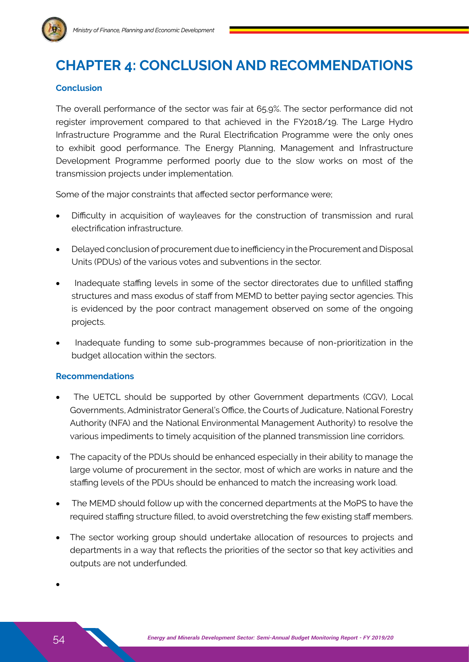

# **Chapter 4: CONCLUSION AND RECOMMENDATIONS**

### **Conclusion**

The overall performance of the sector was fair at 65.9%. The sector performance did not register improvement compared to that achieved in the FY2018/19. The Large Hydro Infrastructure Programme and the Rural Electrification Programme were the only ones to exhibit good performance. The Energy Planning, Management and Infrastructure Development Programme performed poorly due to the slow works on most of the transmission projects under implementation.

Some of the major constraints that affected sector performance were;

- Difficulty in acquisition of wayleaves for the construction of transmission and rural electrification infrastructure.
- Delayed conclusion of procurement due to inefficiency in the Procurement and Disposal Units (PDUs) of the various votes and subventions in the sector.
- Inadequate staffing levels in some of the sector directorates due to unfilled staffing structures and mass exodus of staff from MEMD to better paying sector agencies. This is evidenced by the poor contract management observed on some of the ongoing projects.
- Inadequate funding to some sub-programmes because of non-prioritization in the budget allocation within the sectors.

### **Recommendations**

- The UETCL should be supported by other Government departments (CGV), Local Governments, Administrator General's Office, the Courts of Judicature, National Forestry Authority (NFA) and the National Environmental Management Authority) to resolve the various impediments to timely acquisition of the planned transmission line corridors.
- The capacity of the PDUs should be enhanced especially in their ability to manage the large volume of procurement in the sector, most of which are works in nature and the staffing levels of the PDUs should be enhanced to match the increasing work load.
- The MEMD should follow up with the concerned departments at the MoPS to have the required staffing structure filled, to avoid overstretching the few existing staff members.
- The sector working group should undertake allocation of resources to projects and departments in a way that reflects the priorities of the sector so that key activities and outputs are not underfunded.

•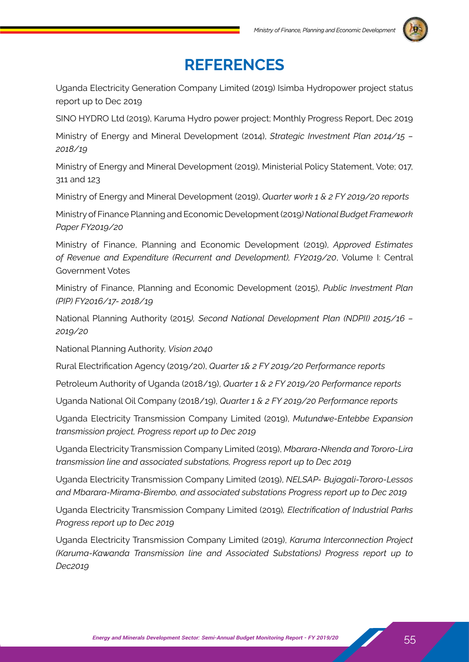

## **References**

Uganda Electricity Generation Company Limited (2019) Isimba Hydropower project status report up to Dec 2019

SINO HYDRO Ltd (2019), Karuma Hydro power project; Monthly Progress Report, Dec 2019

Ministry of Energy and Mineral Development (2014), *Strategic Investment Plan 2014/15 – 2018/19*

Ministry of Energy and Mineral Development (2019), Ministerial Policy Statement, Vote; 017, 311 and 123

Ministry of Energy and Mineral Development (2019), *Quarter work 1 & 2 FY 2019/20 reports*

Ministry of Finance Planning and Economic Development (2019*) National Budget Framework Paper FY2019/20*

Ministry of Finance, Planning and Economic Development (2019), *Approved Estimates of Revenue and Expenditure (Recurrent and Development), FY2019/20*, Volume I: Central Government Votes

Ministry of Finance, Planning and Economic Development (2015), *Public Investment Plan (PIP) FY2016/17- 2018/19*

National Planning Authority (2015*), Second National Development Plan (NDPII) 2015/16 – 2019/20*

National Planning Authority*, Vision 2040*

Rural Electrification Agency (2019/20), *Quarter 1& 2 FY 2019/20 Performance reports*

Petroleum Authority of Uganda (2018/19), *Quarter 1 & 2 FY 2019/20 Performance reports*

Uganda National Oil Company (2018/19), *Quarter 1 & 2 FY 2019/20 Performance reports*

Uganda Electricity Transmission Company Limited (2019), *Mutundwe-Entebbe Expansion transmission project, Progress report up to Dec 2019*

Uganda Electricity Transmission Company Limited (2019), *Mbarara-Nkenda and Tororo-Lira transmission line and associated substations, Progress report up to Dec 2019*

Uganda Electricity Transmission Company Limited (2019), *NELSAP- Bujagali-Tororo-Lessos and Mbarara-Mirama-Birembo, and associated substations Progress report up to Dec 2019*

Uganda Electricity Transmission Company Limited (2019)*, Electrification of Industrial Parks Progress report up to Dec 2019*

Uganda Electricity Transmission Company Limited (2019), *Karuma Interconnection Project (Karuma-Kawanda Transmission line and Associated Substations) Progress report up to Dec2019*